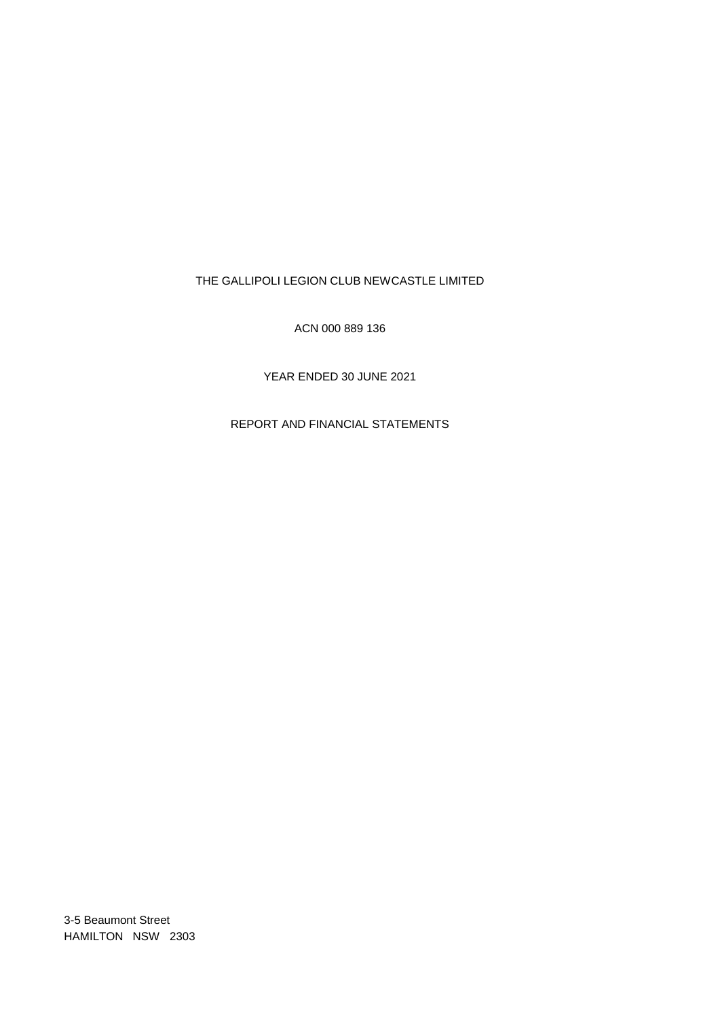# THE GALLIPOLI LEGION CLUB NEWCASTLE LIMITED

ACN 000 889 136

YEAR ENDED 30 JUNE 2021

REPORT AND FINANCIAL STATEMENTS

3-5 Beaumont Street HAMILTON NSW 2303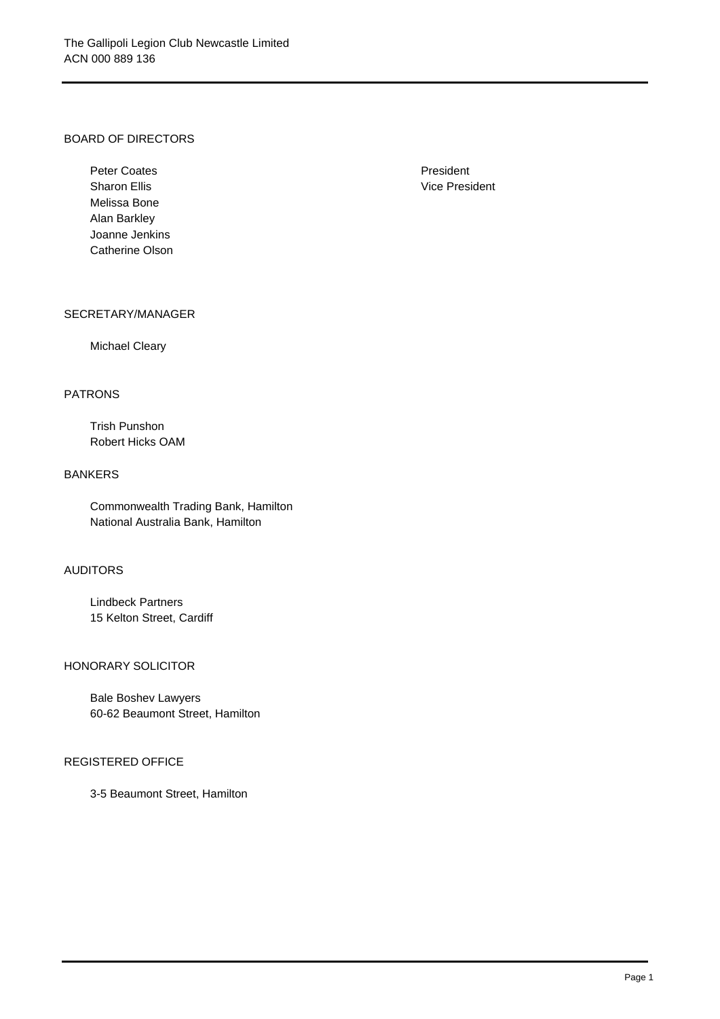## BOARD OF DIRECTORS

Peter Coates **President** President Sharon Ellis **Vice President** Melissa Bone Alan Barkley Joanne Jenkins Catherine Olson

### SECRETARY/MANAGER

### Michael Cleary

## PATRONS

Trish Punshon Robert Hicks OAM

## BANKERS

Commonwealth Trading Bank, Hamilton National Australia Bank, Hamilton

### AUDITORS

Lindbeck Partners 15 Kelton Street, Cardiff

### HONORARY SOLICITOR

Bale Boshev Lawyers 60-62 Beaumont Street, Hamilton

### REGISTERED OFFICE

3-5 Beaumont Street, Hamilton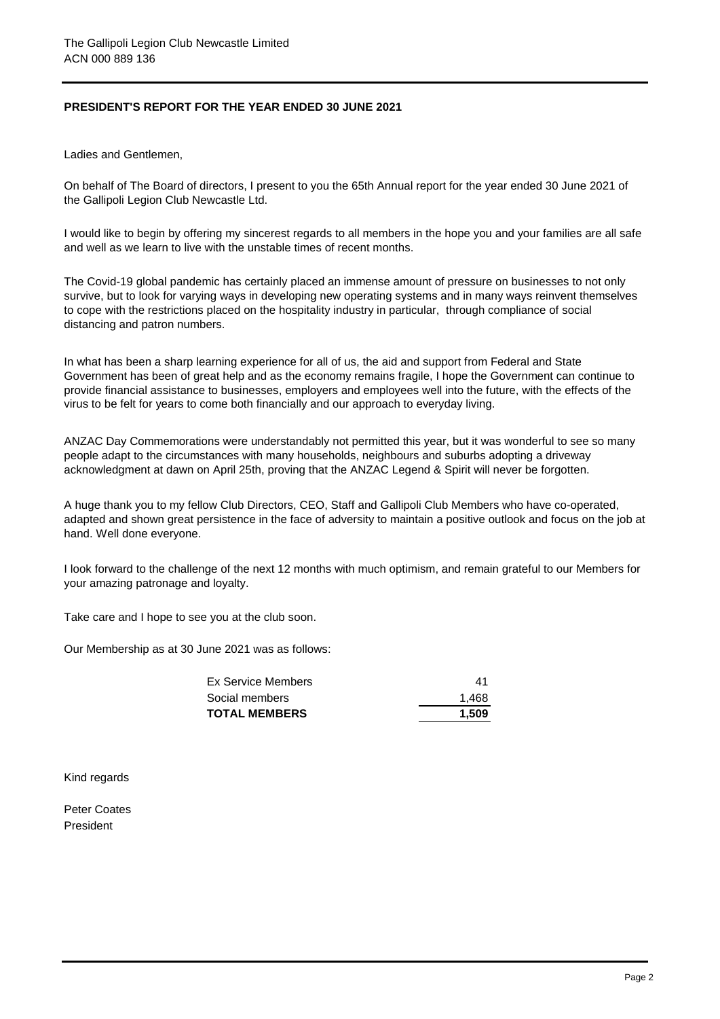# **PRESIDENT'S REPORT FOR THE YEAR ENDED 30 JUNE 2021**

Ladies and Gentlemen,

On behalf of The Board of directors, I present to you the 65th Annual report for the year ended 30 June 2021 of the Gallipoli Legion Club Newcastle Ltd.

I would like to begin by offering my sincerest regards to all members in the hope you and your families are all safe and well as we learn to live with the unstable times of recent months.

The Covid-19 global pandemic has certainly placed an immense amount of pressure on businesses to not only survive, but to look for varying ways in developing new operating systems and in many ways reinvent themselves to cope with the restrictions placed on the hospitality industry in particular, through compliance of social distancing and patron numbers.

In what has been a sharp learning experience for all of us, the aid and support from Federal and State Government has been of great help and as the economy remains fragile, I hope the Government can continue to provide financial assistance to businesses, employers and employees well into the future, with the effects of the virus to be felt for years to come both financially and our approach to everyday living.

ANZAC Day Commemorations were understandably not permitted this year, but it was wonderful to see so many people adapt to the circumstances with many households, neighbours and suburbs adopting a driveway acknowledgment at dawn on April 25th, proving that the ANZAC Legend & Spirit will never be forgotten.

A huge thank you to my fellow Club Directors, CEO, Staff and Gallipoli Club Members who have co-operated, adapted and shown great persistence in the face of adversity to maintain a positive outlook and focus on the job at hand. Well done everyone.

I look forward to the challenge of the next 12 months with much optimism, and remain grateful to our Members for your amazing patronage and loyalty.

Take care and I hope to see you at the club soon.

Our Membership as at 30 June 2021 was as follows:

| <b>TOTAL MEMBERS</b> | 1.509 |
|----------------------|-------|
| Social members       | 1.468 |
| Ex Service Members   | 41    |

Kind regards

Peter Coates President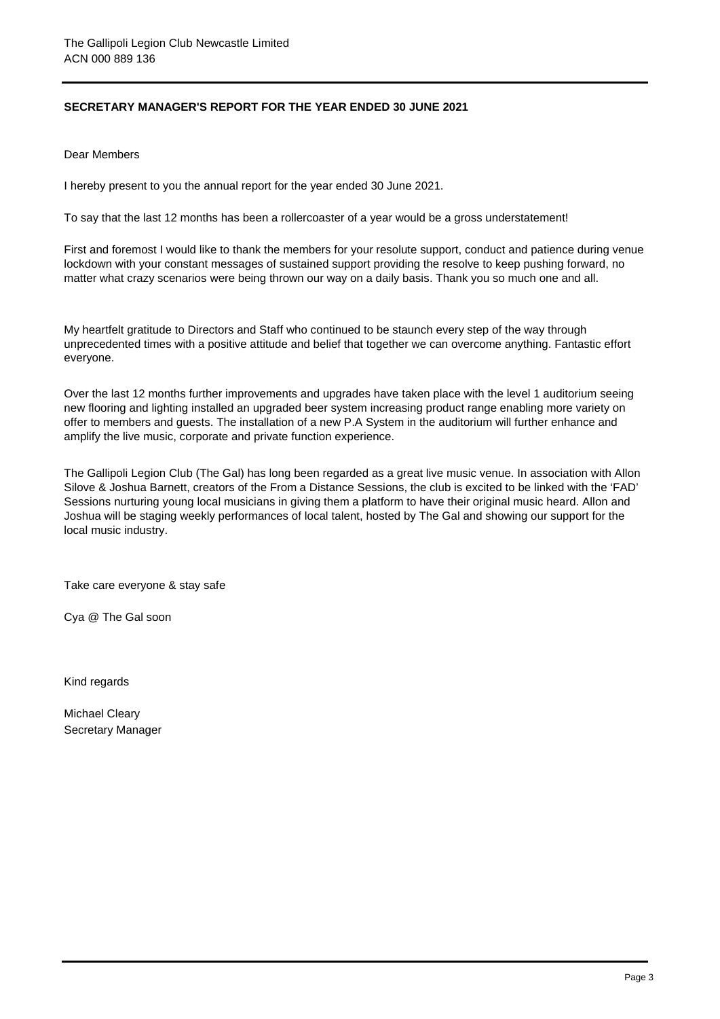# **SECRETARY MANAGER'S REPORT FOR THE YEAR ENDED 30 JUNE 2021**

Dear Members

I hereby present to you the annual report for the year ended 30 June 2021.

To say that the last 12 months has been a rollercoaster of a year would be a gross understatement!

First and foremost I would like to thank the members for your resolute support, conduct and patience during venue lockdown with your constant messages of sustained support providing the resolve to keep pushing forward, no matter what crazy scenarios were being thrown our way on a daily basis. Thank you so much one and all.

My heartfelt gratitude to Directors and Staff who continued to be staunch every step of the way through unprecedented times with a positive attitude and belief that together we can overcome anything. Fantastic effort everyone.

Over the last 12 months further improvements and upgrades have taken place with the level 1 auditorium seeing new flooring and lighting installed an upgraded beer system increasing product range enabling more variety on offer to members and guests. The installation of a new P.A System in the auditorium will further enhance and amplify the live music, corporate and private function experience.

The Gallipoli Legion Club (The Gal) has long been regarded as a great live music venue. In association with Allon Silove & Joshua Barnett, creators of the From a Distance Sessions, the club is excited to be linked with the 'FAD' Sessions nurturing young local musicians in giving them a platform to have their original music heard. Allon and Joshua will be staging weekly performances of local talent, hosted by The Gal and showing our support for the local music industry.

Take care everyone & stay safe

Cya @ The Gal soon

Kind regards

Michael Cleary Secretary Manager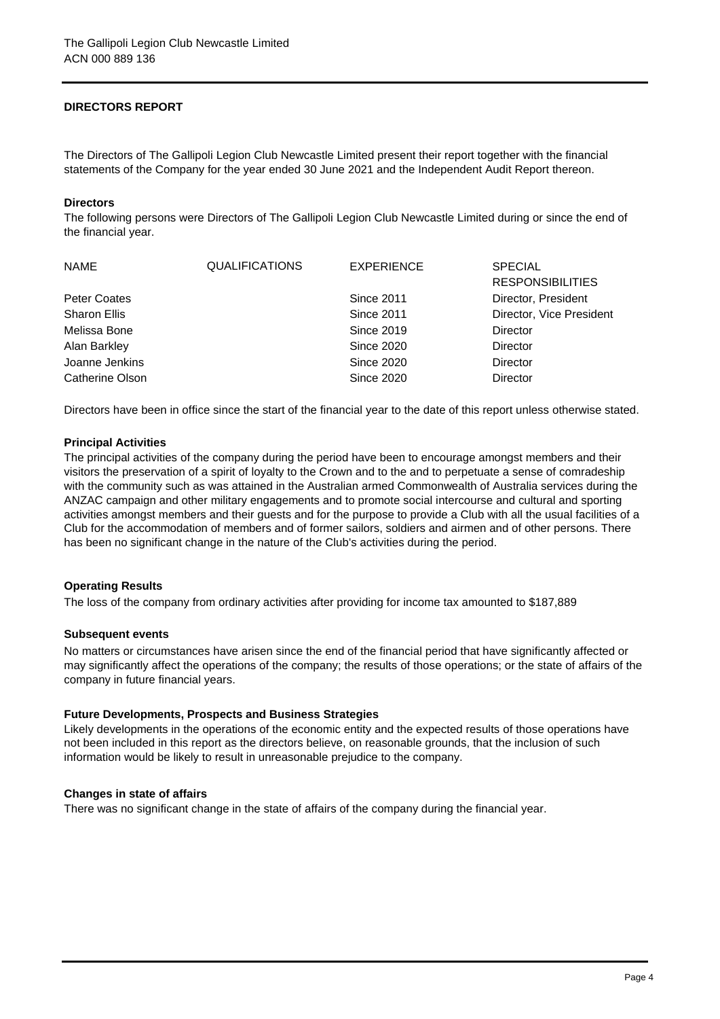# **DIRECTORS REPORT**

The Directors of The Gallipoli Legion Club Newcastle Limited present their report together with the financial statements of the Company for the year ended 30 June 2021 and the Independent Audit Report thereon.

### **Directors**

The following persons were Directors of The Gallipoli Legion Club Newcastle Limited during or since the end of the financial year.

| <b>NAME</b>         | <b>QUALIFICATIONS</b> | <b>EXPERIENCE</b> | <b>SPECIAL</b>           |
|---------------------|-----------------------|-------------------|--------------------------|
|                     |                       |                   | <b>RESPONSIBILITIES</b>  |
| Peter Coates        |                       | <b>Since 2011</b> | Director, President      |
| <b>Sharon Ellis</b> |                       | <b>Since 2011</b> | Director, Vice President |
| Melissa Bone        |                       | <b>Since 2019</b> | Director                 |
| Alan Barkley        |                       | <b>Since 2020</b> | Director                 |
| Joanne Jenkins      |                       | <b>Since 2020</b> | Director                 |
| Catherine Olson     |                       | <b>Since 2020</b> | Director                 |

Directors have been in office since the start of the financial year to the date of this report unless otherwise stated.

## **Principal Activities**

The principal activities of the company during the period have been to encourage amongst members and their visitors the preservation of a spirit of loyalty to the Crown and to the and to perpetuate a sense of comradeship with the community such as was attained in the Australian armed Commonwealth of Australia services during the ANZAC campaign and other military engagements and to promote social intercourse and cultural and sporting activities amongst members and their guests and for the purpose to provide a Club with all the usual facilities of a Club for the accommodation of members and of former sailors, soldiers and airmen and of other persons. There has been no significant change in the nature of the Club's activities during the period.

## **Operating Results**

The loss of the company from ordinary activities after providing for income tax amounted to \$187,889

### **Subsequent events**

No matters or circumstances have arisen since the end of the financial period that have significantly affected or may significantly affect the operations of the company; the results of those operations; or the state of affairs of the company in future financial years.

### **Future Developments, Prospects and Business Strategies**

Likely developments in the operations of the economic entity and the expected results of those operations have not been included in this report as the directors believe, on reasonable grounds, that the inclusion of such information would be likely to result in unreasonable prejudice to the company.

### **Changes in state of affairs**

There was no significant change in the state of affairs of the company during the financial year.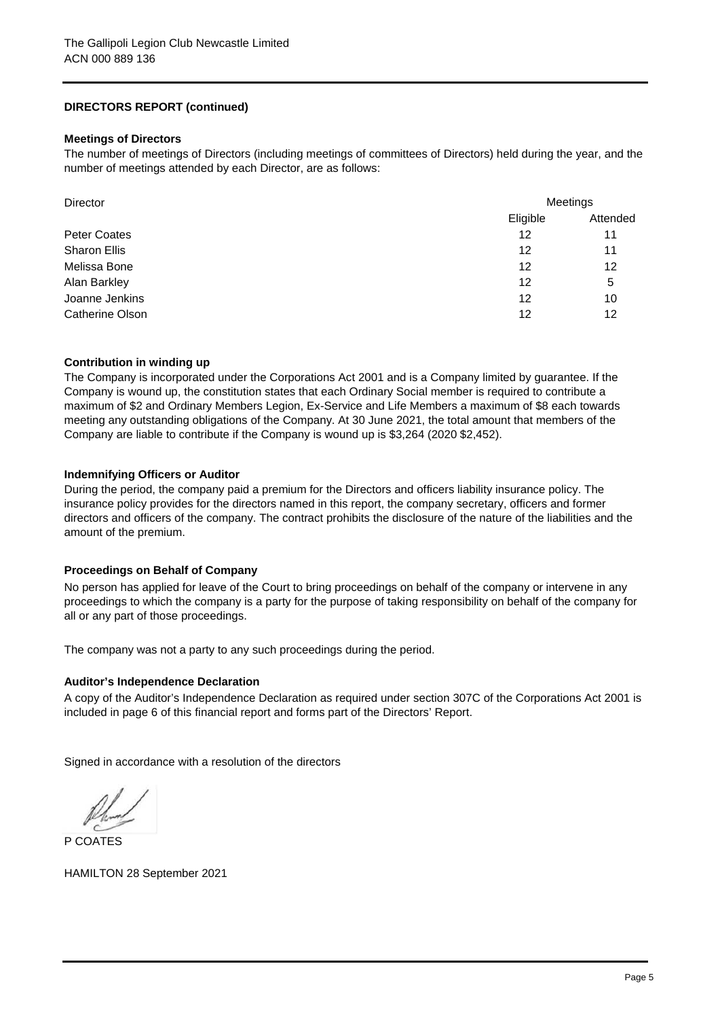# **DIRECTORS REPORT (continued)**

### **Meetings of Directors**

The number of meetings of Directors (including meetings of committees of Directors) held during the year, and the number of meetings attended by each Director, are as follows:

| Director            | Meetings |          |  |
|---------------------|----------|----------|--|
|                     | Eligible | Attended |  |
| Peter Coates        | 12       | 11       |  |
| <b>Sharon Ellis</b> | 12       | 11       |  |
| Melissa Bone        | 12       | 12       |  |
| Alan Barkley        | 12       | 5        |  |
| Joanne Jenkins      | 12       | 10       |  |
| Catherine Olson     | 12       | 12       |  |

## **Contribution in winding up**

The Company is incorporated under the Corporations Act 2001 and is a Company limited by guarantee. If the Company is wound up, the constitution states that each Ordinary Social member is required to contribute a maximum of \$2 and Ordinary Members Legion, Ex-Service and Life Members a maximum of \$8 each towards meeting any outstanding obligations of the Company. At 30 June 2021, the total amount that members of the Company are liable to contribute if the Company is wound up is \$3,264 (2020 \$2,452).

## **Indemnifying Officers or Auditor**

During the period, the company paid a premium for the Directors and officers liability insurance policy. The insurance policy provides for the directors named in this report, the company secretary, officers and former directors and officers of the company. The contract prohibits the disclosure of the nature of the liabilities and the amount of the premium.

## **Proceedings on Behalf of Company**

No person has applied for leave of the Court to bring proceedings on behalf of the company or intervene in any proceedings to which the company is a party for the purpose of taking responsibility on behalf of the company for all or any part of those proceedings.

The company was not a party to any such proceedings during the period.

### **Auditor's Independence Declaration**

A copy of the Auditor's Independence Declaration as required under section 307C of the Corporations Act 2001 is included in page 6 of this financial report and forms part of the Directors' Report.

Signed in accordance with a resolution of the directors

P COATES

HAMILTON 28 September 2021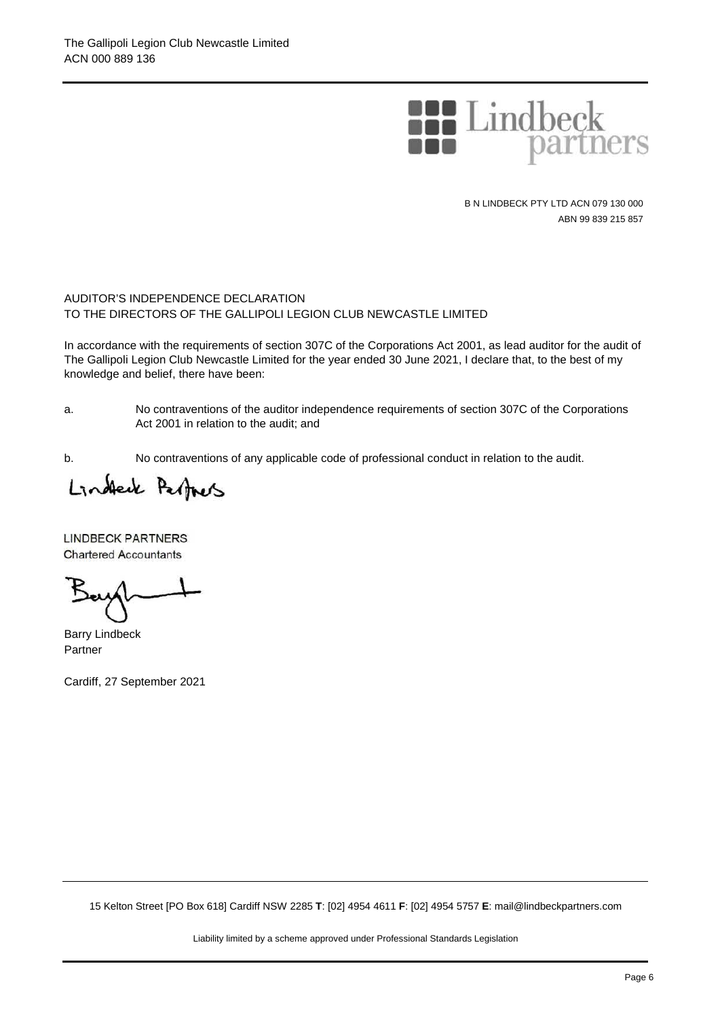

B N LINDBECK PTY LTD ACN 079 130 000 ABN 99 839 215 857

## AUDITOR'S INDEPENDENCE DECLARATION TO THE DIRECTORS OF THE GALLIPOLI LEGION CLUB NEWCASTLE LIMITED

In accordance with the requirements of section 307C of the Corporations Act 2001, as lead auditor for the audit of The Gallipoli Legion Club Newcastle Limited for the year ended 30 June 2021, I declare that, to the best of my knowledge and belief, there have been:

a.

No contraventions of the auditor independence requirements of section 307C of the Corporations Act 2001 in relation to the audit; and

b. No contraventions of any applicable code of professional conduct in relation to the audit.

Lindleck Perfacts

LINDBECK PARTNERS Chartered Accountants

Barry Lindbeck Partner

Cardiff, 27 September 2021

15 Kelton Street [PO Box 618] Cardiff NSW 2285 **T**: [02] 4954 4611 **F**: [02] 4954 5757 **E**: mail@lindbeckpartners.com

Liability limited by a scheme approved under Professional Standards Legislation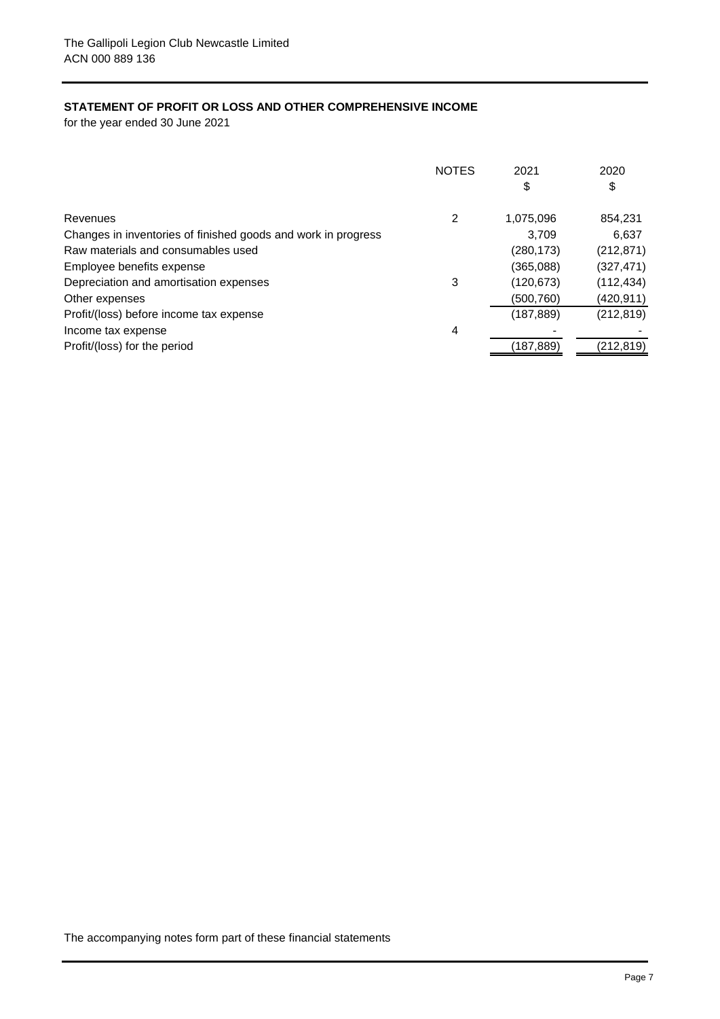# **STATEMENT OF PROFIT OR LOSS AND OTHER COMPREHENSIVE INCOME**

for the year ended 30 June 2021

|                                                               | <b>NOTES</b> | 2021       | 2020       |
|---------------------------------------------------------------|--------------|------------|------------|
|                                                               |              | \$         | \$         |
| Revenues                                                      | 2            | 1,075,096  | 854,231    |
| Changes in inventories of finished goods and work in progress |              | 3.709      | 6,637      |
| Raw materials and consumables used                            |              | (280, 173) | (212, 871) |
| Employee benefits expense                                     |              | (365,088)  | (327, 471) |
| Depreciation and amortisation expenses                        | 3            | (120, 673) | (112, 434) |
| Other expenses                                                |              | (500, 760) | (420,911)  |
| Profit/(loss) before income tax expense                       |              | (187, 889) | (212, 819) |
| Income tax expense                                            | 4            |            |            |
| Profit/(loss) for the period                                  |              | (187, 889) | (212, 819) |
|                                                               |              |            |            |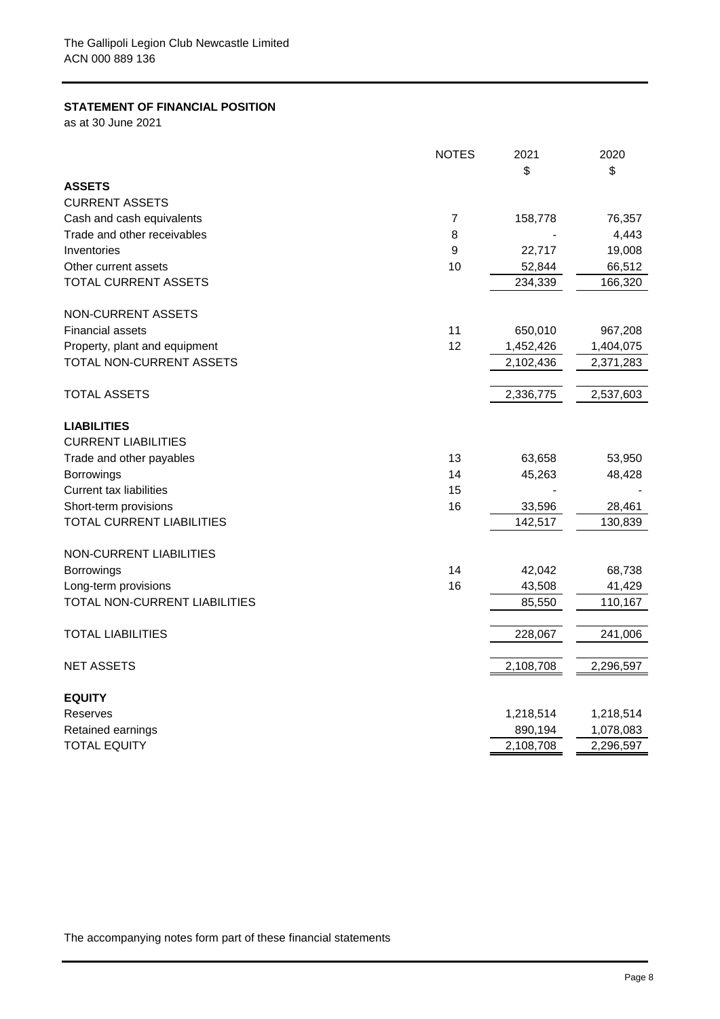## **STATEMENT OF FINANCIAL POSITION**

as at 30 June 2021

|                                | <b>NOTES</b>   | 2021      | 2020      |
|--------------------------------|----------------|-----------|-----------|
|                                |                | \$        | \$        |
| <b>ASSETS</b>                  |                |           |           |
| <b>CURRENT ASSETS</b>          |                |           |           |
| Cash and cash equivalents      | $\overline{7}$ | 158,778   | 76,357    |
| Trade and other receivables    | 8              |           | 4,443     |
| Inventories                    | 9              | 22,717    | 19,008    |
| Other current assets           | 10             | 52,844    | 66,512    |
| TOTAL CURRENT ASSETS           |                | 234,339   | 166,320   |
| NON-CURRENT ASSETS             |                |           |           |
| <b>Financial assets</b>        | 11             | 650,010   | 967,208   |
| Property, plant and equipment  | 12             | 1,452,426 | 1,404,075 |
| TOTAL NON-CURRENT ASSETS       |                | 2,102,436 | 2,371,283 |
| TOTAL ASSETS                   |                | 2,336,775 | 2,537,603 |
|                                |                |           |           |
| <b>LIABILITIES</b>             |                |           |           |
| <b>CURRENT LIABILITIES</b>     |                |           |           |
| Trade and other payables       | 13             | 63,658    | 53,950    |
| Borrowings                     | 14             | 45,263    | 48,428    |
| <b>Current tax liabilities</b> | 15             |           |           |
| Short-term provisions          | 16             | 33,596    | 28,461    |
| TOTAL CURRENT LIABILITIES      |                | 142,517   | 130,839   |
| NON-CURRENT LIABILITIES        |                |           |           |
| <b>Borrowings</b>              | 14             | 42,042    | 68,738    |
| Long-term provisions           | 16             | 43,508    | 41,429    |
| TOTAL NON-CURRENT LIABILITIES  |                | 85,550    | 110,167   |
| TOTAL LIABILITIES              |                | 228,067   | 241,006   |
| <b>NET ASSETS</b>              |                | 2,108,708 | 2,296,597 |
| <b>EQUITY</b>                  |                |           |           |
| Reserves                       |                | 1,218,514 | 1,218,514 |
| Retained earnings              |                | 890,194   | 1,078,083 |
| <b>TOTAL EQUITY</b>            |                | 2,108,708 | 2,296,597 |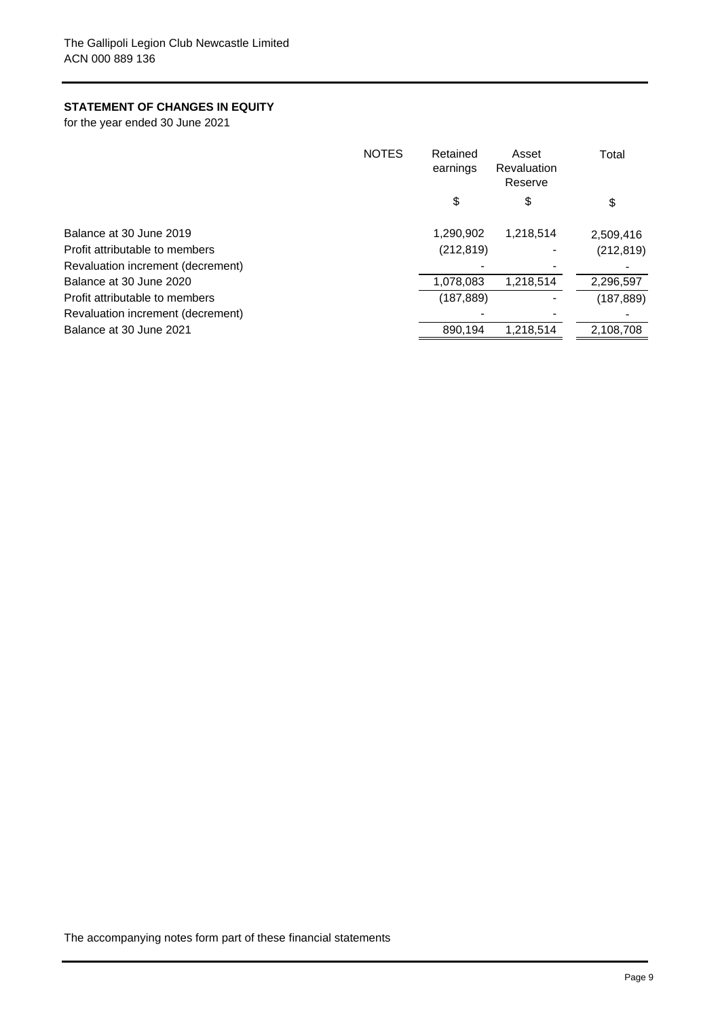# **STATEMENT OF CHANGES IN EQUITY**

for the year ended 30 June 2021

| <b>NOTES</b>                      | Retained<br>earnings | Asset<br><b>Revaluation</b><br>Reserve | Total      |
|-----------------------------------|----------------------|----------------------------------------|------------|
|                                   | \$                   | \$                                     | \$         |
| Balance at 30 June 2019           | 1,290,902            | 1,218,514                              | 2,509,416  |
| Profit attributable to members    | (212, 819)           |                                        | (212, 819) |
| Revaluation increment (decrement) |                      |                                        |            |
| Balance at 30 June 2020           | 1,078,083            | 1,218,514                              | 2,296,597  |
| Profit attributable to members    | (187, 889)           |                                        | (187, 889) |
| Revaluation increment (decrement) |                      |                                        |            |
| Balance at 30 June 2021           | 890,194              | 1,218,514                              | 2,108,708  |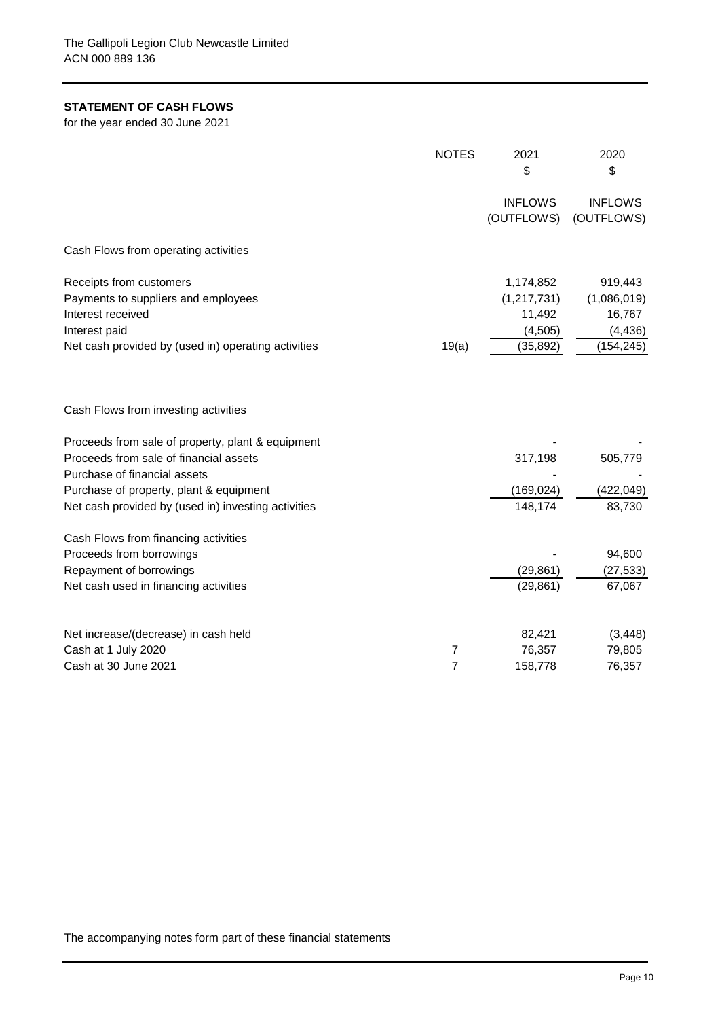# **STATEMENT OF CASH FLOWS**

for the year ended 30 June 2021

|                                                     | <b>NOTES</b>   | 2021           | 2020           |
|-----------------------------------------------------|----------------|----------------|----------------|
|                                                     |                | \$             | \$             |
|                                                     |                | <b>INFLOWS</b> | <b>INFLOWS</b> |
|                                                     |                | (OUTFLOWS)     | (OUTFLOWS)     |
| Cash Flows from operating activities                |                |                |                |
| Receipts from customers                             |                | 1,174,852      | 919,443        |
| Payments to suppliers and employees                 |                | (1, 217, 731)  | (1,086,019)    |
| Interest received                                   |                | 11,492         | 16,767         |
| Interest paid                                       |                | (4, 505)       | (4, 436)       |
| Net cash provided by (used in) operating activities | 19(a)          | (35, 892)      | (154, 245)     |
| Cash Flows from investing activities                |                |                |                |
| Proceeds from sale of property, plant & equipment   |                |                |                |
| Proceeds from sale of financial assets              |                | 317,198        | 505,779        |
| Purchase of financial assets                        |                |                |                |
| Purchase of property, plant & equipment             |                | (169, 024)     | (422, 049)     |
| Net cash provided by (used in) investing activities |                | 148,174        | 83,730         |
| Cash Flows from financing activities                |                |                |                |
| Proceeds from borrowings                            |                |                | 94,600         |
| Repayment of borrowings                             |                | (29, 861)      | (27, 533)      |
| Net cash used in financing activities               |                | (29, 861)      | 67,067         |
| Net increase/(decrease) in cash held                |                | 82,421         | (3, 448)       |
| Cash at 1 July 2020                                 | 7              | 76,357         | 79,805         |
| Cash at 30 June 2021                                | $\overline{7}$ | 158,778        | 76,357         |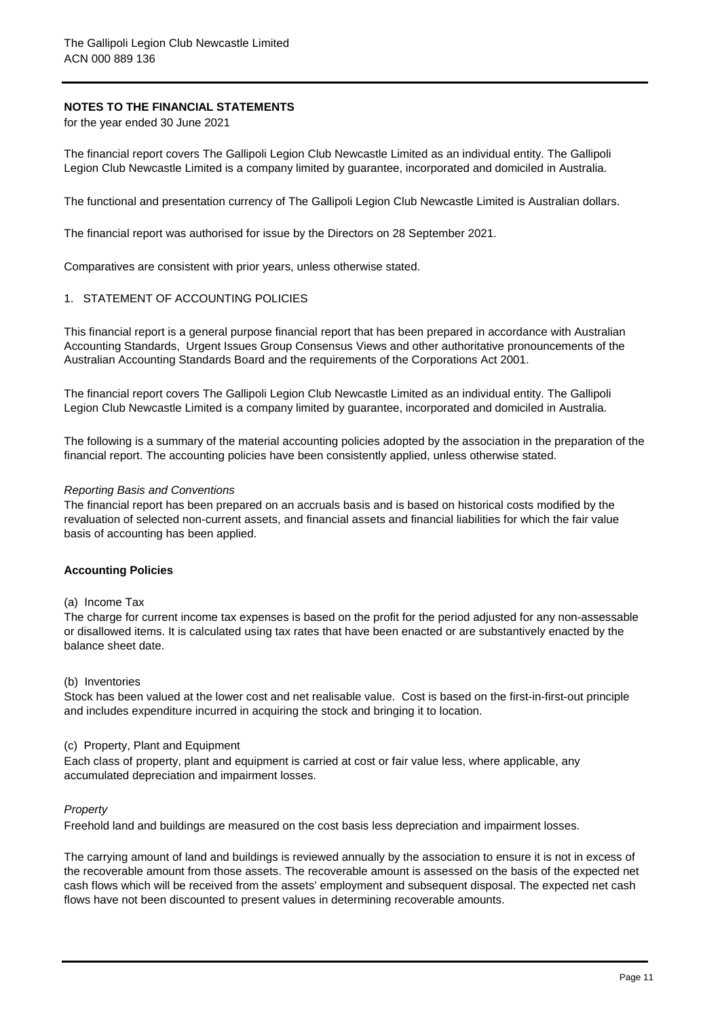## **NOTES TO THE FINANCIAL STATEMENTS**

for the year ended 30 June 2021

The financial report covers The Gallipoli Legion Club Newcastle Limited as an individual entity. The Gallipoli Legion Club Newcastle Limited is a company limited by guarantee, incorporated and domiciled in Australia.

The functional and presentation currency of The Gallipoli Legion Club Newcastle Limited is Australian dollars.

The financial report was authorised for issue by the Directors on 28 September 2021.

Comparatives are consistent with prior years, unless otherwise stated.

### 1. STATEMENT OF ACCOUNTING POLICIES

This financial report is a general purpose financial report that has been prepared in accordance with Australian Accounting Standards, Urgent Issues Group Consensus Views and other authoritative pronouncements of the Australian Accounting Standards Board and the requirements of the Corporations Act 2001.

The financial report covers The Gallipoli Legion Club Newcastle Limited as an individual entity. The Gallipoli Legion Club Newcastle Limited is a company limited by guarantee, incorporated and domiciled in Australia.

The following is a summary of the material accounting policies adopted by the association in the preparation of the financial report. The accounting policies have been consistently applied, unless otherwise stated.

#### *Reporting Basis and Conventions*

The financial report has been prepared on an accruals basis and is based on historical costs modified by the revaluation of selected non-current assets, and financial assets and financial liabilities for which the fair value basis of accounting has been applied.

### **Accounting Policies**

#### (a) Income Tax

The charge for current income tax expenses is based on the profit for the period adjusted for any non-assessable or disallowed items. It is calculated using tax rates that have been enacted or are substantively enacted by the balance sheet date.

### (b) Inventories

Stock has been valued at the lower cost and net realisable value. Cost is based on the first-in-first-out principle and includes expenditure incurred in acquiring the stock and bringing it to location.

### (c) Property, Plant and Equipment

Each class of property, plant and equipment is carried at cost or fair value less, where applicable, any accumulated depreciation and impairment losses.

### *Property*

Freehold land and buildings are measured on the cost basis less depreciation and impairment losses.

The carrying amount of land and buildings is reviewed annually by the association to ensure it is not in excess of the recoverable amount from those assets. The recoverable amount is assessed on the basis of the expected net cash flows which will be received from the assets' employment and subsequent disposal. The expected net cash flows have not been discounted to present values in determining recoverable amounts.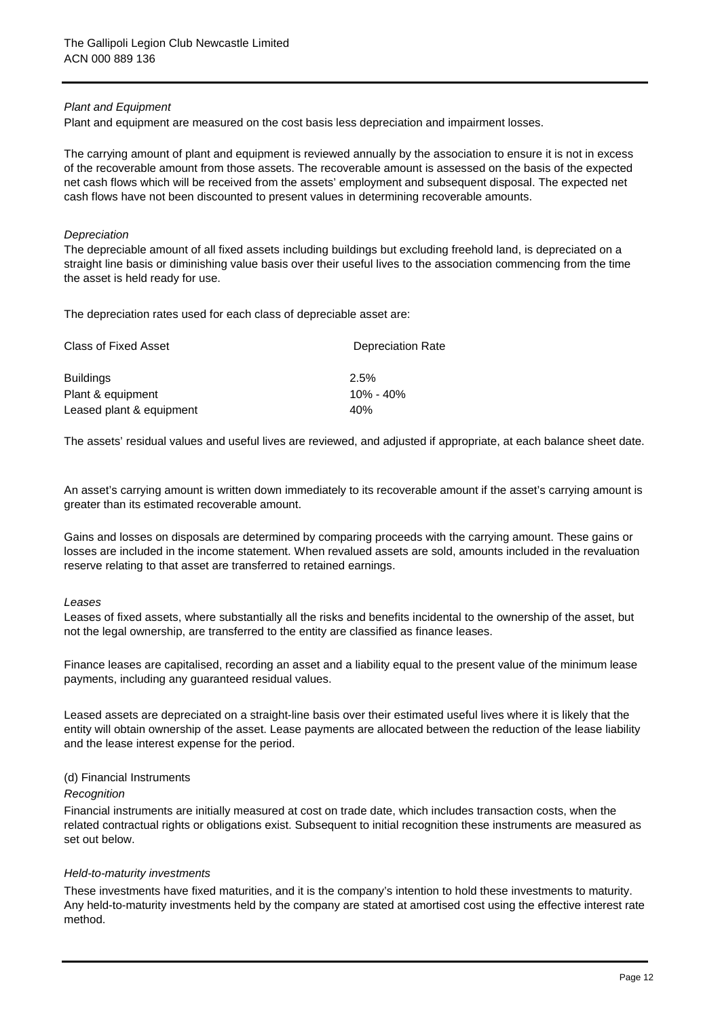### *Plant and Equipment*

Plant and equipment are measured on the cost basis less depreciation and impairment losses.

The carrying amount of plant and equipment is reviewed annually by the association to ensure it is not in excess of the recoverable amount from those assets. The recoverable amount is assessed on the basis of the expected net cash flows which will be received from the assets' employment and subsequent disposal. The expected net cash flows have not been discounted to present values in determining recoverable amounts.

### *Depreciation*

The depreciable amount of all fixed assets including buildings but excluding freehold land, is depreciated on a straight line basis or diminishing value basis over their useful lives to the association commencing from the time the asset is held ready for use.

The depreciation rates used for each class of depreciable asset are:

| Class of Fixed Asset     | <b>Depreciation Rate</b> |
|--------------------------|--------------------------|
| <b>Buildings</b>         | 2.5%                     |
| Plant & equipment        | $10\% - 40\%$            |
| Leased plant & equipment | 40%                      |

The assets' residual values and useful lives are reviewed, and adjusted if appropriate, at each balance sheet date.

An asset's carrying amount is written down immediately to its recoverable amount if the asset's carrying amount is greater than its estimated recoverable amount.

Gains and losses on disposals are determined by comparing proceeds with the carrying amount. These gains or losses are included in the income statement. When revalued assets are sold, amounts included in the revaluation reserve relating to that asset are transferred to retained earnings.

#### *Leases*

Leases of fixed assets, where substantially all the risks and benefits incidental to the ownership of the asset, but not the legal ownership, are transferred to the entity are classified as finance leases.

Finance leases are capitalised, recording an asset and a liability equal to the present value of the minimum lease payments, including any guaranteed residual values.

Leased assets are depreciated on a straight-line basis over their estimated useful lives where it is likely that the entity will obtain ownership of the asset. Lease payments are allocated between the reduction of the lease liability and the lease interest expense for the period.

### (d) Financial Instruments

#### *Recognition*

Financial instruments are initially measured at cost on trade date, which includes transaction costs, when the related contractual rights or obligations exist. Subsequent to initial recognition these instruments are measured as set out below.

### *Held-to-maturity investments*

These investments have fixed maturities, and it is the company's intention to hold these investments to maturity. Any held-to-maturity investments held by the company are stated at amortised cost using the effective interest rate method.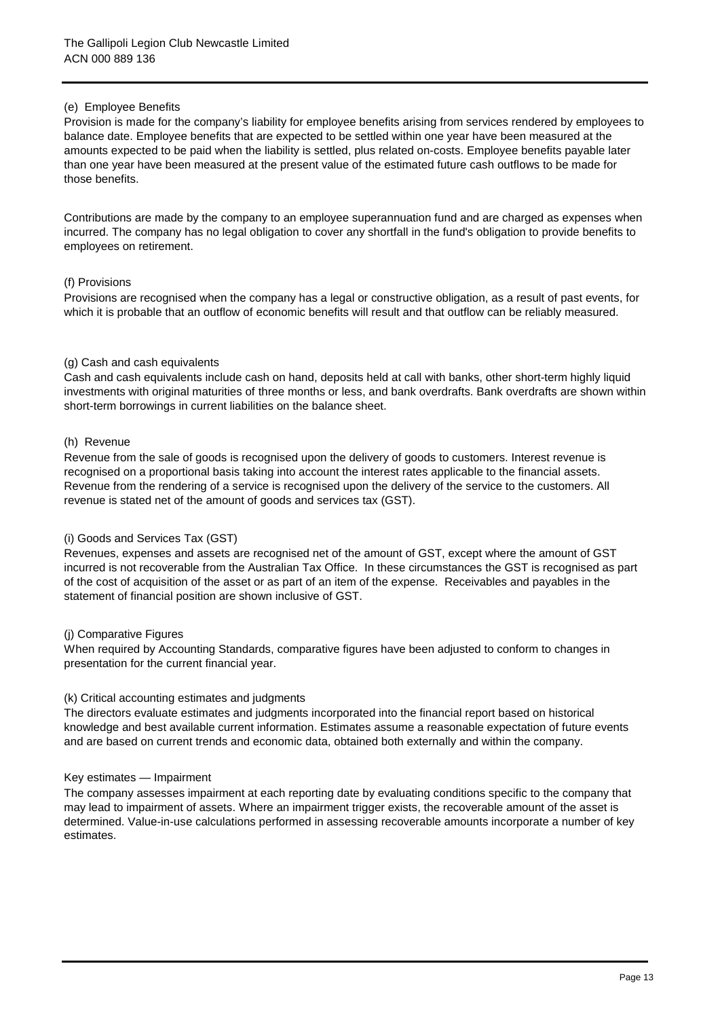## (e) Employee Benefits

Provision is made for the company's liability for employee benefits arising from services rendered by employees to balance date. Employee benefits that are expected to be settled within one year have been measured at the amounts expected to be paid when the liability is settled, plus related on-costs. Employee benefits payable later than one year have been measured at the present value of the estimated future cash outflows to be made for those benefits.

Contributions are made by the company to an employee superannuation fund and are charged as expenses when incurred. The company has no legal obligation to cover any shortfall in the fund's obligation to provide benefits to employees on retirement.

### (f) Provisions

Provisions are recognised when the company has a legal or constructive obligation, as a result of past events, for which it is probable that an outflow of economic benefits will result and that outflow can be reliably measured.

## (g) Cash and cash equivalents

Cash and cash equivalents include cash on hand, deposits held at call with banks, other short-term highly liquid investments with original maturities of three months or less, and bank overdrafts. Bank overdrafts are shown within short-term borrowings in current liabilities on the balance sheet.

## (h) Revenue

Revenue from the sale of goods is recognised upon the delivery of goods to customers. Interest revenue is recognised on a proportional basis taking into account the interest rates applicable to the financial assets. Revenue from the rendering of a service is recognised upon the delivery of the service to the customers. All revenue is stated net of the amount of goods and services tax (GST).

### (i) Goods and Services Tax (GST)

Revenues, expenses and assets are recognised net of the amount of GST, except where the amount of GST incurred is not recoverable from the Australian Tax Office. In these circumstances the GST is recognised as part of the cost of acquisition of the asset or as part of an item of the expense. Receivables and payables in the statement of financial position are shown inclusive of GST.

### (j) Comparative Figures

When required by Accounting Standards, comparative figures have been adjusted to conform to changes in presentation for the current financial year.

### (k) Critical accounting estimates and judgments

The directors evaluate estimates and judgments incorporated into the financial report based on historical knowledge and best available current information. Estimates assume a reasonable expectation of future events and are based on current trends and economic data, obtained both externally and within the company.

### Key estimates — Impairment

The company assesses impairment at each reporting date by evaluating conditions specific to the company that may lead to impairment of assets. Where an impairment trigger exists, the recoverable amount of the asset is determined. Value-in-use calculations performed in assessing recoverable amounts incorporate a number of key estimates.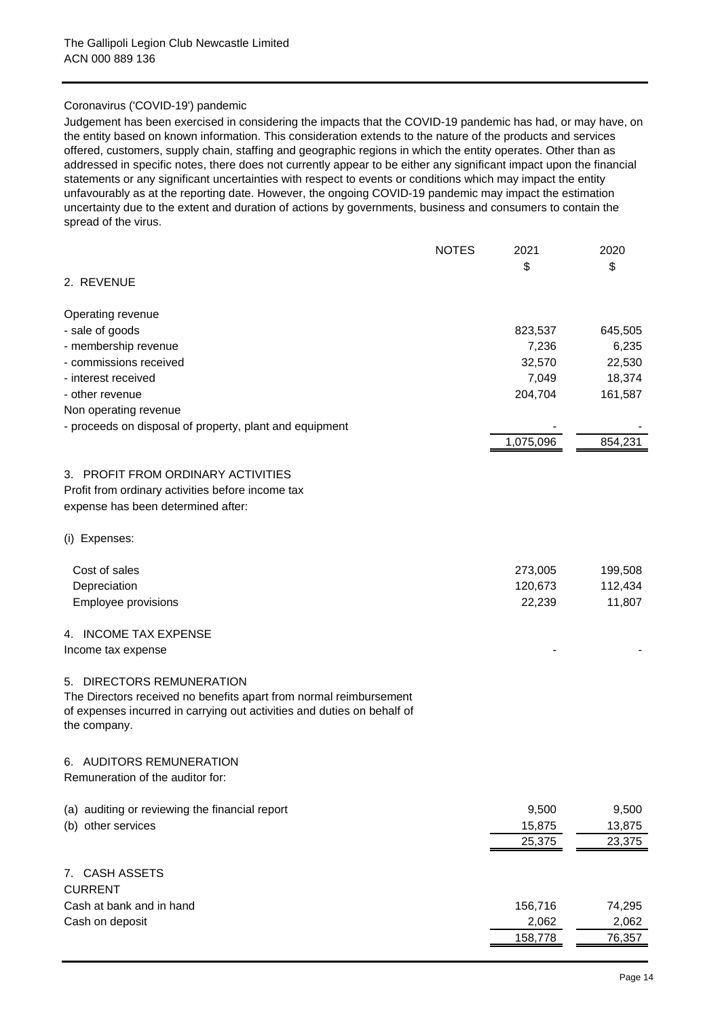## Coronavirus ('COVID-19') pandemic

Judgement has been exercised in considering the impacts that the COVID-19 pandemic has had, or may have, on the entity based on known information. This consideration extends to the nature of the products and services offered, customers, supply chain, staffing and geographic regions in which the entity operates. Other than as addressed in specific notes, there does not currently appear to be either any significant impact upon the financial statements or any significant uncertainties with respect to events or conditions which may impact the entity unfavourably as at the reporting date. However, the ongoing COVID-19 pandemic may impact the estimation uncertainty due to the extent and duration of actions by governments, business and consumers to contain the spread of the virus.

|                                                                                         | <b>NOTES</b> | 2021      | 2020    |
|-----------------------------------------------------------------------------------------|--------------|-----------|---------|
|                                                                                         |              | \$        | \$      |
| 2. REVENUE                                                                              |              |           |         |
| Operating revenue                                                                       |              |           |         |
| - sale of goods                                                                         |              | 823,537   | 645,505 |
| - membership revenue                                                                    |              | 7,236     | 6,235   |
| - commissions received                                                                  |              | 32,570    | 22,530  |
| - interest received                                                                     |              | 7,049     | 18,374  |
| - other revenue                                                                         |              | 204,704   | 161,587 |
| Non operating revenue                                                                   |              |           |         |
| - proceeds on disposal of property, plant and equipment                                 |              |           |         |
|                                                                                         |              | 1,075,096 | 854,231 |
| 3. PROFIT FROM ORDINARY ACTIVITIES                                                      |              |           |         |
| Profit from ordinary activities before income tax                                       |              |           |         |
| expense has been determined after:                                                      |              |           |         |
|                                                                                         |              |           |         |
| (i) Expenses:                                                                           |              |           |         |
| Cost of sales                                                                           |              | 273,005   | 199,508 |
| Depreciation                                                                            |              | 120,673   | 112,434 |
| <b>Employee provisions</b>                                                              |              | 22,239    | 11,807  |
| 4. INCOME TAX EXPENSE                                                                   |              |           |         |
| Income tax expense                                                                      |              |           |         |
| 5. DIRECTORS REMUNERATION                                                               |              |           |         |
| The Directors received no benefits apart from normal reimbursement                      |              |           |         |
| of expenses incurred in carrying out activities and duties on behalf of<br>the company. |              |           |         |
| 6. AUDITORS REMUNERATION                                                                |              |           |         |
| Remuneration of the auditor for:                                                        |              |           |         |
| (a) auditing or reviewing the financial report                                          |              | 9,500     | 9,500   |
| (b) other services                                                                      |              | 15,875    | 13,875  |
|                                                                                         |              | 25,375    | 23,375  |
| 7. CASH ASSETS                                                                          |              |           |         |
| <b>CURRENT</b>                                                                          |              |           |         |
| Cash at bank and in hand                                                                |              | 156,716   | 74,295  |
| Cash on deposit                                                                         |              | 2,062     | 2,062   |
|                                                                                         |              | 158,778   | 76,357  |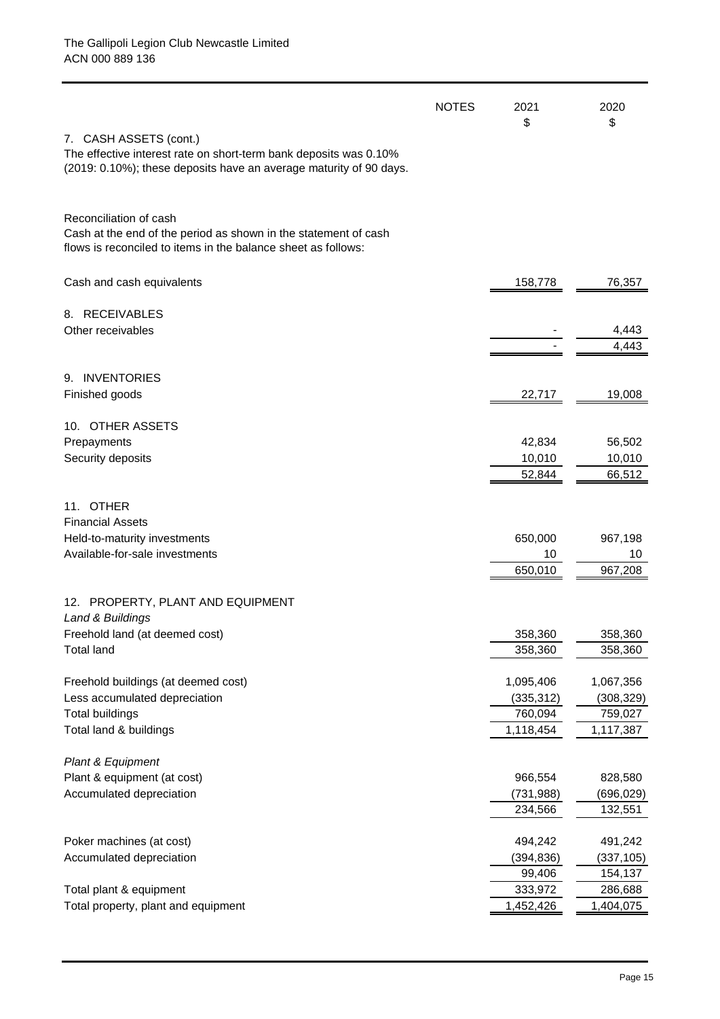|                                                                                                                                                            | <b>NOTES</b> | 2021<br>\$              | 2020                    |
|------------------------------------------------------------------------------------------------------------------------------------------------------------|--------------|-------------------------|-------------------------|
| 7. CASH ASSETS (cont.)<br>The effective interest rate on short-term bank deposits was 0.10%                                                                |              |                         | \$                      |
| (2019: 0.10%); these deposits have an average maturity of 90 days.                                                                                         |              |                         |                         |
| Reconciliation of cash<br>Cash at the end of the period as shown in the statement of cash<br>flows is reconciled to items in the balance sheet as follows: |              |                         |                         |
| Cash and cash equivalents                                                                                                                                  |              | 158,778                 | 76,357                  |
| 8. RECEIVABLES                                                                                                                                             |              |                         |                         |
| Other receivables                                                                                                                                          |              |                         | 4,443                   |
|                                                                                                                                                            |              |                         | 4,443                   |
| 9. INVENTORIES                                                                                                                                             |              |                         |                         |
| Finished goods                                                                                                                                             |              | 22,717                  | 19,008                  |
|                                                                                                                                                            |              |                         |                         |
| 10. OTHER ASSETS                                                                                                                                           |              |                         |                         |
| Prepayments                                                                                                                                                |              | 42,834                  | 56,502                  |
| Security deposits                                                                                                                                          |              | 10,010<br>52,844        | 10,010<br>66,512        |
|                                                                                                                                                            |              |                         |                         |
| 11. OTHER                                                                                                                                                  |              |                         |                         |
| <b>Financial Assets</b>                                                                                                                                    |              |                         |                         |
| Held-to-maturity investments                                                                                                                               |              | 650,000                 | 967,198                 |
| Available-for-sale investments                                                                                                                             |              | 10                      | 10                      |
|                                                                                                                                                            |              | 650,010                 | 967,208                 |
| 12. PROPERTY, PLANT AND EQUIPMENT                                                                                                                          |              |                         |                         |
| Land & Buildings                                                                                                                                           |              |                         |                         |
| Freehold land (at deemed cost)                                                                                                                             |              | 358,360                 | 358,360                 |
| <b>Total land</b>                                                                                                                                          |              | 358,360                 | 358,360                 |
|                                                                                                                                                            |              |                         |                         |
| Freehold buildings (at deemed cost)<br>Less accumulated depreciation                                                                                       |              | 1,095,406<br>(335, 312) | 1,067,356<br>(308, 329) |
| <b>Total buildings</b>                                                                                                                                     |              | 760,094                 | 759,027                 |
| Total land & buildings                                                                                                                                     |              | 1,118,454               | 1,117,387               |
|                                                                                                                                                            |              |                         |                         |
| Plant & Equipment                                                                                                                                          |              |                         |                         |
| Plant & equipment (at cost)                                                                                                                                |              | 966,554                 | 828,580                 |
| Accumulated depreciation                                                                                                                                   |              | (731, 988)              | (696,029)               |
|                                                                                                                                                            |              | 234,566                 | 132,551                 |
| Poker machines (at cost)                                                                                                                                   |              | 494,242                 | 491,242                 |
| Accumulated depreciation                                                                                                                                   |              | (394, 836)              | (337, 105)              |
|                                                                                                                                                            |              | 99,406                  | 154,137                 |
| Total plant & equipment                                                                                                                                    |              | 333,972                 | 286,688                 |
| Total property, plant and equipment                                                                                                                        |              | 1,452,426               | 1,404,075               |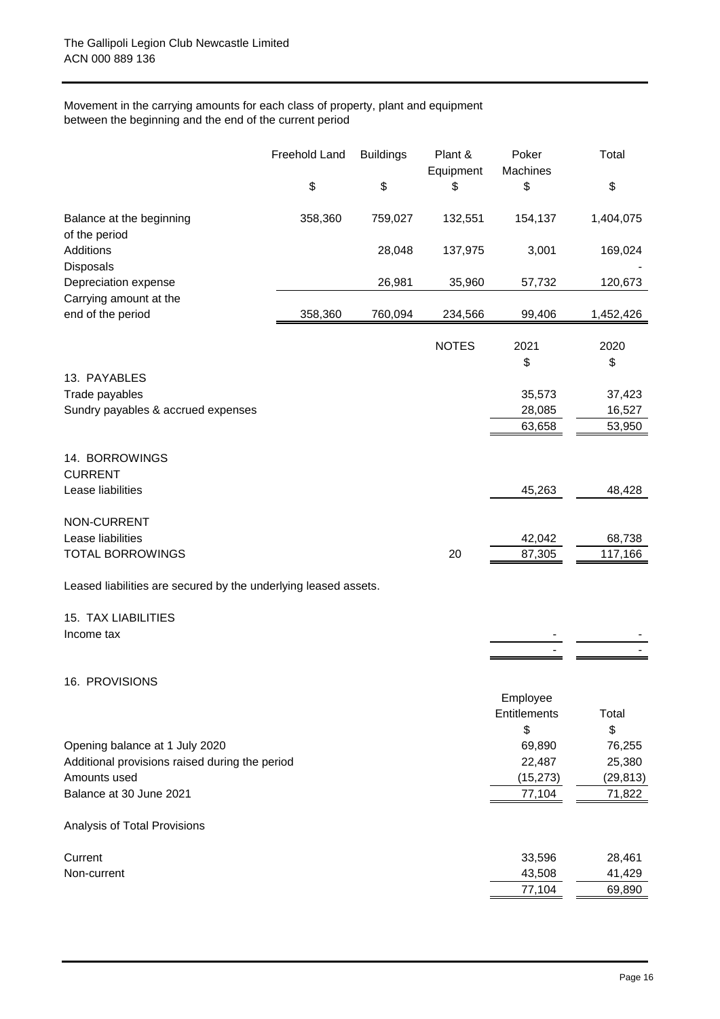## Movement in the carrying amounts for each class of property, plant and equipment between the beginning and the end of the current period

|                                                                 | Freehold Land | <b>Buildings</b> | Plant &<br>Equipment | Poker<br>Machines | Total     |
|-----------------------------------------------------------------|---------------|------------------|----------------------|-------------------|-----------|
|                                                                 | \$            | \$               | \$                   | \$                | \$        |
| Balance at the beginning<br>of the period                       | 358,360       | 759,027          | 132,551              | 154,137           | 1,404,075 |
| Additions<br>Disposals                                          |               | 28,048           | 137,975              | 3,001             | 169,024   |
| Depreciation expense                                            |               | 26,981           | 35,960               | 57,732            | 120,673   |
| Carrying amount at the<br>end of the period                     | 358,360       | 760,094          | 234,566              | 99,406            | 1,452,426 |
|                                                                 |               |                  | <b>NOTES</b>         | 2021              | 2020      |
| 13. PAYABLES                                                    |               |                  |                      | \$                | \$        |
| Trade payables                                                  |               |                  |                      | 35,573            | 37,423    |
| Sundry payables & accrued expenses                              |               |                  |                      | 28,085            | 16,527    |
|                                                                 |               |                  |                      | 63,658            | 53,950    |
| 14. BORROWINGS<br><b>CURRENT</b>                                |               |                  |                      |                   |           |
| Lease liabilities                                               |               |                  |                      | 45,263            | 48,428    |
| <b>NON-CURRENT</b>                                              |               |                  |                      |                   |           |
| Lease liabilities                                               |               |                  |                      | 42,042            | 68,738    |
| <b>TOTAL BORROWINGS</b>                                         |               |                  | 20                   | 87,305            | 117,166   |
| Leased liabilities are secured by the underlying leased assets. |               |                  |                      |                   |           |
| <b>15. TAX LIABILITIES</b>                                      |               |                  |                      |                   |           |
| Income tax                                                      |               |                  |                      |                   |           |
| 16. PROVISIONS                                                  |               |                  |                      |                   |           |
|                                                                 |               |                  |                      | Employee          |           |
|                                                                 |               |                  |                      | Entitlements      | Total     |
|                                                                 |               |                  |                      | \$                | \$        |
| Opening balance at 1 July 2020                                  |               |                  |                      | 69,890            | 76,255    |
| Additional provisions raised during the period                  |               |                  |                      | 22,487            | 25,380    |
| Amounts used                                                    |               |                  |                      | (15, 273)         | (29, 813) |
| Balance at 30 June 2021                                         |               |                  |                      | 77,104            | 71,822    |
| Analysis of Total Provisions                                    |               |                  |                      |                   |           |
| Current                                                         |               |                  |                      | 33,596            | 28,461    |
| Non-current                                                     |               |                  |                      | 43,508            | 41,429    |
|                                                                 |               |                  |                      | 77,104            | 69,890    |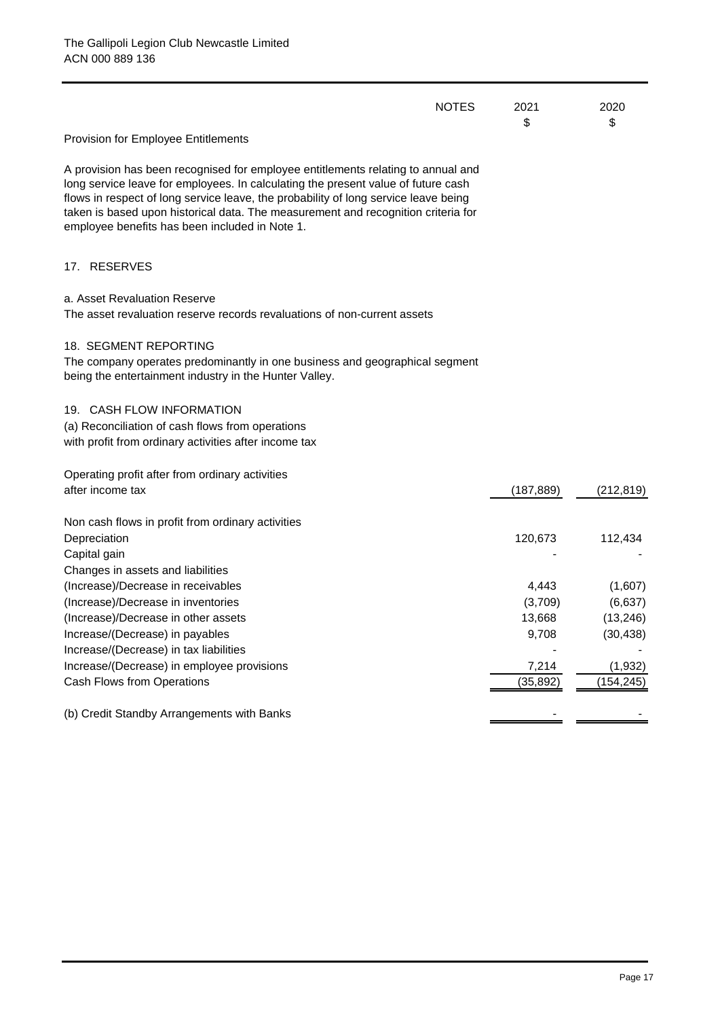| <b>NOTES</b>                                                                                                                                                                                                                                                                                                                                                                                        | 2021<br>\$                 | 2020<br>\$                      |
|-----------------------------------------------------------------------------------------------------------------------------------------------------------------------------------------------------------------------------------------------------------------------------------------------------------------------------------------------------------------------------------------------------|----------------------------|---------------------------------|
| Provision for Employee Entitlements                                                                                                                                                                                                                                                                                                                                                                 |                            |                                 |
| A provision has been recognised for employee entitlements relating to annual and<br>long service leave for employees. In calculating the present value of future cash<br>flows in respect of long service leave, the probability of long service leave being<br>taken is based upon historical data. The measurement and recognition criteria for<br>employee benefits has been included in Note 1. |                            |                                 |
| 17. RESERVES                                                                                                                                                                                                                                                                                                                                                                                        |                            |                                 |
| a. Asset Revaluation Reserve<br>The asset revaluation reserve records revaluations of non-current assets                                                                                                                                                                                                                                                                                            |                            |                                 |
| 18. SEGMENT REPORTING<br>The company operates predominantly in one business and geographical segment<br>being the entertainment industry in the Hunter Valley.                                                                                                                                                                                                                                      |                            |                                 |
| 19. CASH FLOW INFORMATION<br>(a) Reconciliation of cash flows from operations<br>with profit from ordinary activities after income tax                                                                                                                                                                                                                                                              |                            |                                 |
| Operating profit after from ordinary activities<br>after income tax                                                                                                                                                                                                                                                                                                                                 | (187, 889)                 | (212, 819)                      |
| Non cash flows in profit from ordinary activities<br>Depreciation<br>Capital gain                                                                                                                                                                                                                                                                                                                   | 120,673                    | 112,434                         |
| Changes in assets and liabilities<br>(Increase)/Decrease in receivables<br>(Increase)/Decrease in inventories<br>(Increase)/Decrease in other assets                                                                                                                                                                                                                                                | 4,443<br>(3,709)<br>13,668 | (1,607)<br>(6,637)<br>(13, 246) |
| Increase/(Decrease) in payables<br>Increase/(Decrease) in tax liabilities                                                                                                                                                                                                                                                                                                                           | 9,708                      | (30, 438)                       |
| Increase/(Decrease) in employee provisions<br>Cash Flows from Operations                                                                                                                                                                                                                                                                                                                            | 7,214<br>(35, 892)         | (1, 932)<br>(154, 245)          |
| (b) Credit Standby Arrangements with Banks                                                                                                                                                                                                                                                                                                                                                          |                            |                                 |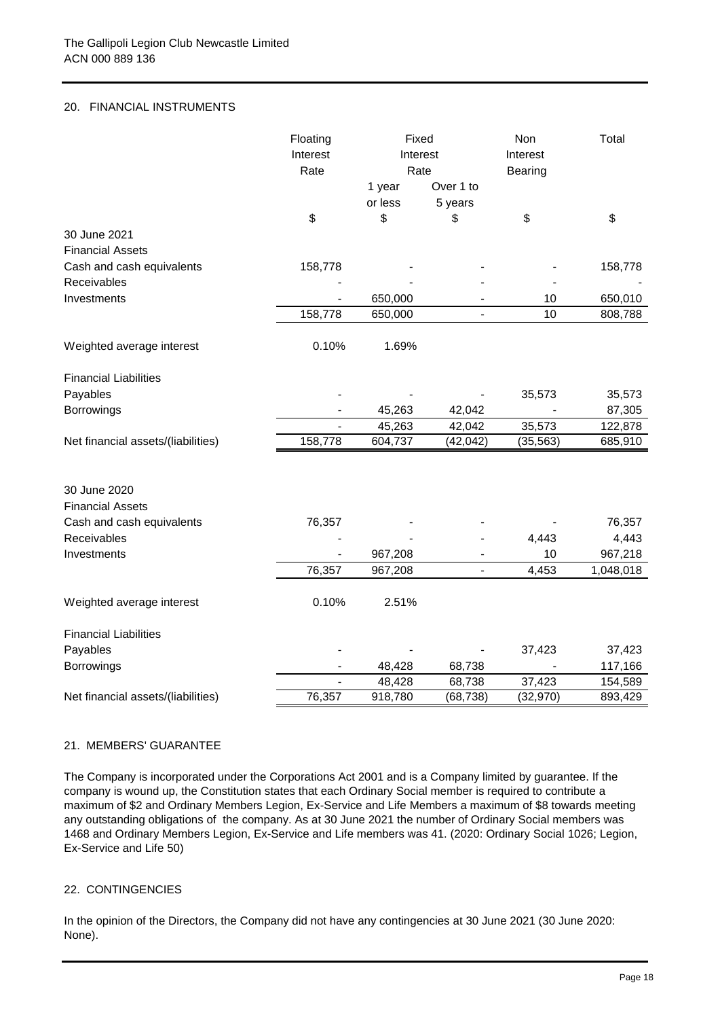## 20. FINANCIAL INSTRUMENTS

|                                    | Floating       | Fixed    |                          | Non       | Total     |
|------------------------------------|----------------|----------|--------------------------|-----------|-----------|
|                                    | Interest       | Interest |                          | Interest  |           |
|                                    | Rate           | Rate     |                          | Bearing   |           |
|                                    |                | 1 year   | Over 1 to                |           |           |
|                                    |                | or less  | 5 years                  |           |           |
|                                    | \$             | \$       | \$                       | \$        | \$        |
| 30 June 2021                       |                |          |                          |           |           |
| <b>Financial Assets</b>            |                |          |                          |           |           |
| Cash and cash equivalents          | 158,778        |          |                          |           | 158,778   |
| Receivables                        |                |          |                          |           |           |
| Investments                        |                | 650,000  |                          | 10        | 650,010   |
|                                    | 158,778        | 650,000  |                          | 10        | 808,788   |
| Weighted average interest          | 0.10%          | 1.69%    |                          |           |           |
| <b>Financial Liabilities</b>       |                |          |                          |           |           |
| Payables                           |                |          |                          | 35,573    | 35,573    |
| Borrowings                         |                | 45,263   | 42,042                   |           | 87,305    |
|                                    | $\overline{a}$ | 45,263   | 42,042                   | 35,573    | 122,878   |
| Net financial assets/(liabilities) | 158,778        | 604,737  | (42, 042)                | (35, 563) | 685,910   |
|                                    |                |          |                          |           |           |
| 30 June 2020                       |                |          |                          |           |           |
| <b>Financial Assets</b>            |                |          |                          |           |           |
| Cash and cash equivalents          | 76,357         |          |                          |           | 76,357    |
| Receivables                        |                |          |                          | 4,443     | 4,443     |
| Investments                        |                | 967,208  |                          | 10        | 967,218   |
|                                    | 76,357         | 967,208  | $\overline{\phantom{a}}$ | 4,453     | 1,048,018 |
| Weighted average interest          | 0.10%          | 2.51%    |                          |           |           |
| <b>Financial Liabilities</b>       |                |          |                          |           |           |
| Payables                           |                |          |                          | 37,423    | 37,423    |
| Borrowings                         |                | 48,428   | 68,738                   |           | 117,166   |
|                                    |                | 48,428   | 68,738                   | 37,423    | 154,589   |
| Net financial assets/(liabilities) | 76,357         | 918,780  | (68, 738)                | (32, 970) | 893,429   |

### 21. MEMBERS' GUARANTEE

The Company is incorporated under the Corporations Act 2001 and is a Company limited by guarantee. If the company is wound up, the Constitution states that each Ordinary Social member is required to contribute a maximum of \$2 and Ordinary Members Legion, Ex-Service and Life Members a maximum of \$8 towards meeting any outstanding obligations of the company. As at 30 June 2021 the number of Ordinary Social members was 1468 and Ordinary Members Legion, Ex-Service and Life members was 41. (2020: Ordinary Social 1026; Legion, Ex-Service and Life 50)

## 22. CONTINGENCIES

In the opinion of the Directors, the Company did not have any contingencies at 30 June 2021 (30 June 2020: None).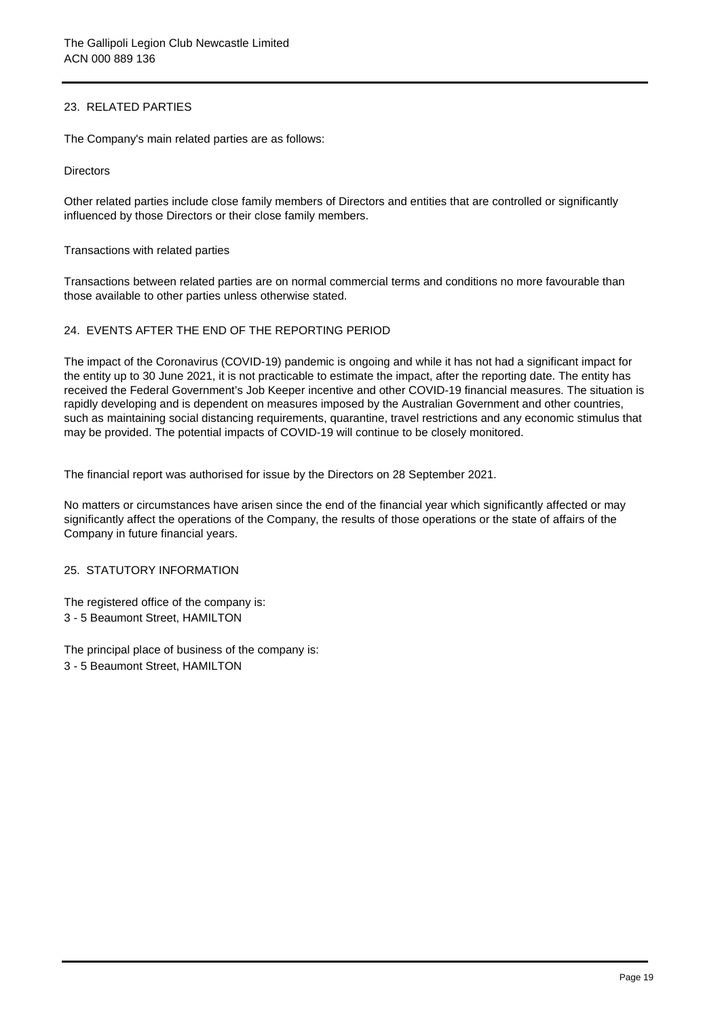## 23. RELATED PARTIES

The Company's main related parties are as follows:

**Directors** 

Other related parties include close family members of Directors and entities that are controlled or significantly influenced by those Directors or their close family members.

Transactions with related parties

Transactions between related parties are on normal commercial terms and conditions no more favourable than those available to other parties unless otherwise stated.

## 24. EVENTS AFTER THE END OF THE REPORTING PERIOD

The impact of the Coronavirus (COVID-19) pandemic is ongoing and while it has not had a significant impact for the entity up to 30 June 2021, it is not practicable to estimate the impact, after the reporting date. The entity has received the Federal Government's Job Keeper incentive and other COVID-19 financial measures. The situation is rapidly developing and is dependent on measures imposed by the Australian Government and other countries, such as maintaining social distancing requirements, quarantine, travel restrictions and any economic stimulus that may be provided. The potential impacts of COVID-19 will continue to be closely monitored.

The financial report was authorised for issue by the Directors on 28 September 2021.

No matters or circumstances have arisen since the end of the financial year which significantly affected or may significantly affect the operations of the Company, the results of those operations or the state of affairs of the Company in future financial years.

## 25. STATUTORY INFORMATION

The registered office of the company is: 3 - 5 Beaumont Street, HAMILTON

The principal place of business of the company is: 3 - 5 Beaumont Street, HAMILTON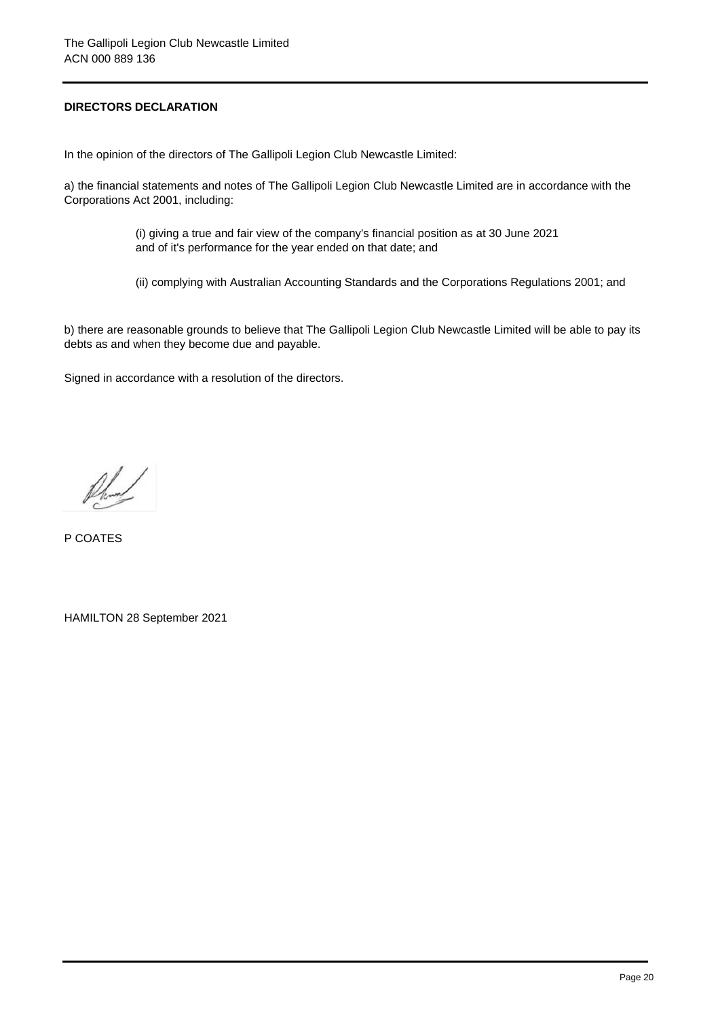# **DIRECTORS DECLARATION**

In the opinion of the directors of The Gallipoli Legion Club Newcastle Limited:

a) the financial statements and notes of The Gallipoli Legion Club Newcastle Limited are in accordance with the Corporations Act 2001, including:

> (i) giving a true and fair view of the company's financial position as at 30 June 2021 and of it's performance for the year ended on that date; and

(ii) complying with Australian Accounting Standards and the Corporations Regulations 2001; and

b) there are reasonable grounds to believe that The Gallipoli Legion Club Newcastle Limited will be able to pay its debts as and when they become due and payable.

Signed in accordance with a resolution of the directors.

fland

P COATES

HAMILTON 28 September 2021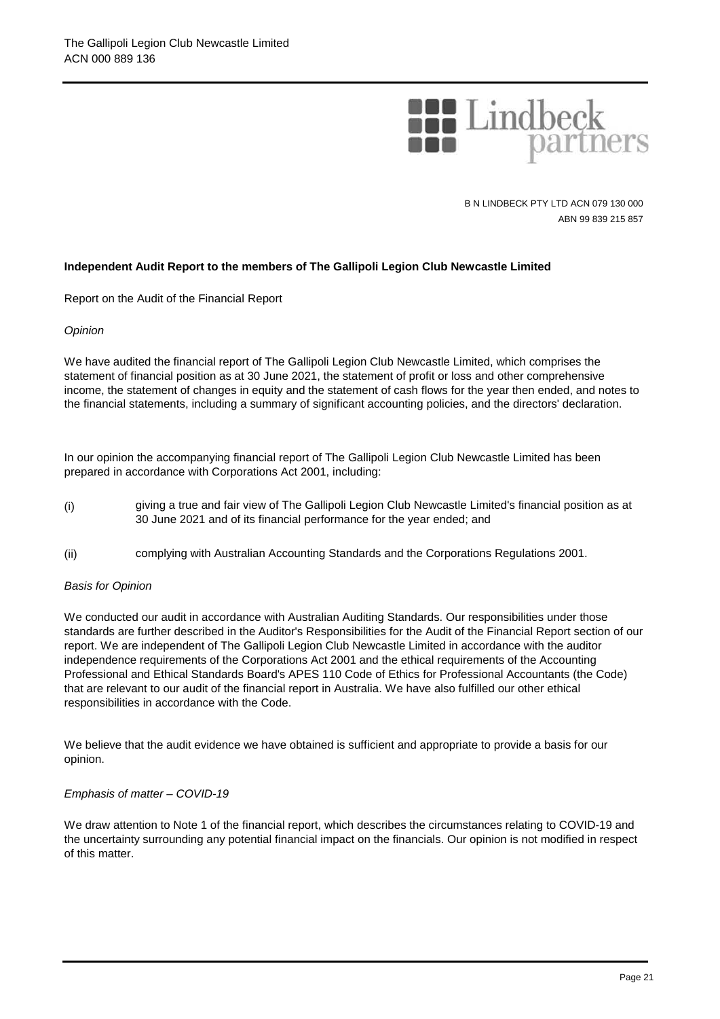

B N LINDBECK PTY LTD ACN 079 130 000 ABN 99 839 215 857

## **Independent Audit Report to the members of The Gallipoli Legion Club Newcastle Limited**

Report on the Audit of the Financial Report

### *Opinion*

We have audited the financial report of The Gallipoli Legion Club Newcastle Limited, which comprises the statement of financial position as at 30 June 2021, the statement of profit or loss and other comprehensive income, the statement of changes in equity and the statement of cash flows for the year then ended, and notes to the financial statements, including a summary of significant accounting policies, and the directors' declaration.

In our opinion the accompanying financial report of The Gallipoli Legion Club Newcastle Limited has been prepared in accordance with Corporations Act 2001, including:

- (i) giving a true and fair view of The Gallipoli Legion Club Newcastle Limited's financial position as at 30 June 2021 and of its financial performance for the year ended; and
- (ii) complying with Australian Accounting Standards and the Corporations Regulations 2001.

### *Basis for Opinion*

We conducted our audit in accordance with Australian Auditing Standards. Our responsibilities under those standards are further described in the Auditor's Responsibilities for the Audit of the Financial Report section of our report. We are independent of The Gallipoli Legion Club Newcastle Limited in accordance with the auditor independence requirements of the Corporations Act 2001 and the ethical requirements of the Accounting Professional and Ethical Standards Board's APES 110 Code of Ethics for Professional Accountants (the Code) that are relevant to our audit of the financial report in Australia. We have also fulfilled our other ethical responsibilities in accordance with the Code.

We believe that the audit evidence we have obtained is sufficient and appropriate to provide a basis for our opinion.

#### *Emphasis of matter – COVID-19*

We draw attention to Note 1 of the financial report, which describes the circumstances relating to COVID-19 and the uncertainty surrounding any potential financial impact on the financials. Our opinion is not modified in respect of this matter.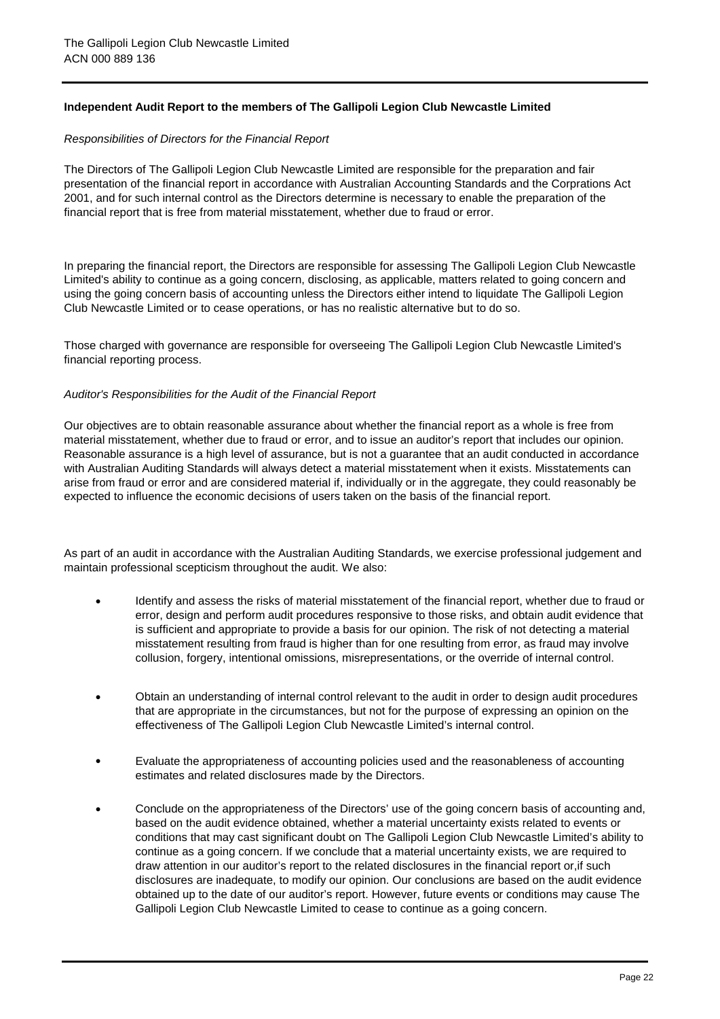## **Independent Audit Report to the members of The Gallipoli Legion Club Newcastle Limited**

### *Responsibilities of Directors for the Financial Report*

The Directors of The Gallipoli Legion Club Newcastle Limited are responsible for the preparation and fair presentation of the financial report in accordance with Australian Accounting Standards and the Corprations Act 2001, and for such internal control as the Directors determine is necessary to enable the preparation of the financial report that is free from material misstatement, whether due to fraud or error.

In preparing the financial report, the Directors are responsible for assessing The Gallipoli Legion Club Newcastle Limited's ability to continue as a going concern, disclosing, as applicable, matters related to going concern and using the going concern basis of accounting unless the Directors either intend to liquidate The Gallipoli Legion Club Newcastle Limited or to cease operations, or has no realistic alternative but to do so.

Those charged with governance are responsible for overseeing The Gallipoli Legion Club Newcastle Limited's financial reporting process.

#### *Auditor's Responsibilities for the Audit of the Financial Report*

Our objectives are to obtain reasonable assurance about whether the financial report as a whole is free from material misstatement, whether due to fraud or error, and to issue an auditor's report that includes our opinion. Reasonable assurance is a high level of assurance, but is not a guarantee that an audit conducted in accordance with Australian Auditing Standards will always detect a material misstatement when it exists. Misstatements can arise from fraud or error and are considered material if, individually or in the aggregate, they could reasonably be expected to influence the economic decisions of users taken on the basis of the financial report.

As part of an audit in accordance with the Australian Auditing Standards, we exercise professional judgement and maintain professional scepticism throughout the audit. We also:

- $\bullet$ Identify and assess the risks of material misstatement of the financial report, whether due to fraud or error, design and perform audit procedures responsive to those risks, and obtain audit evidence that is sufficient and appropriate to provide a basis for our opinion. The risk of not detecting a material misstatement resulting from fraud is higher than for one resulting from error, as fraud may involve collusion, forgery, intentional omissions, misrepresentations, or the override of internal control.
- $\bullet$ Obtain an understanding of internal control relevant to the audit in order to design audit procedures that are appropriate in the circumstances, but not for the purpose of expressing an opinion on the effectiveness of The Gallipoli Legion Club Newcastle Limited's internal control.
- $\bullet$ Evaluate the appropriateness of accounting policies used and the reasonableness of accounting estimates and related disclosures made by the Directors.
- $\bullet$ Conclude on the appropriateness of the Directors' use of the going concern basis of accounting and, based on the audit evidence obtained, whether a material uncertainty exists related to events or conditions that may cast significant doubt on The Gallipoli Legion Club Newcastle Limited's ability to continue as a going concern. If we conclude that a material uncertainty exists, we are required to draw attention in our auditor's report to the related disclosures in the financial report or,if such disclosures are inadequate, to modify our opinion. Our conclusions are based on the audit evidence obtained up to the date of our auditor's report. However, future events or conditions may cause The Gallipoli Legion Club Newcastle Limited to cease to continue as a going concern.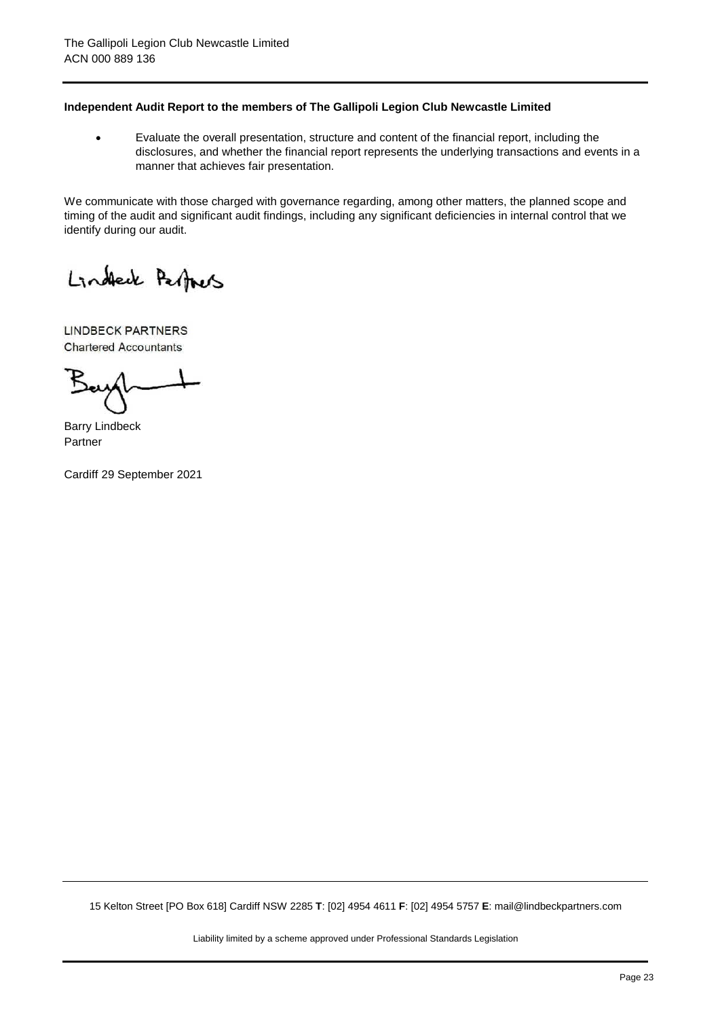## **Independent Audit Report to the members of The Gallipoli Legion Club Newcastle Limited**

 $\bullet$ Evaluate the overall presentation, structure and content of the financial report, including the disclosures, and whether the financial report represents the underlying transactions and events in a manner that achieves fair presentation.

We communicate with those charged with governance regarding, among other matters, the planned scope and timing of the audit and significant audit findings, including any significant deficiencies in internal control that we identify during our audit.

Lindeck Partners

LINDBECK PARTNERS Chartered Accountants

Barry Lindbeck Partner

Cardiff 29 September 2021

15 Kelton Street [PO Box 618] Cardiff NSW 2285 **T**: [02] 4954 4611 **F**: [02] 4954 5757 **E**: mail@lindbeckpartners.com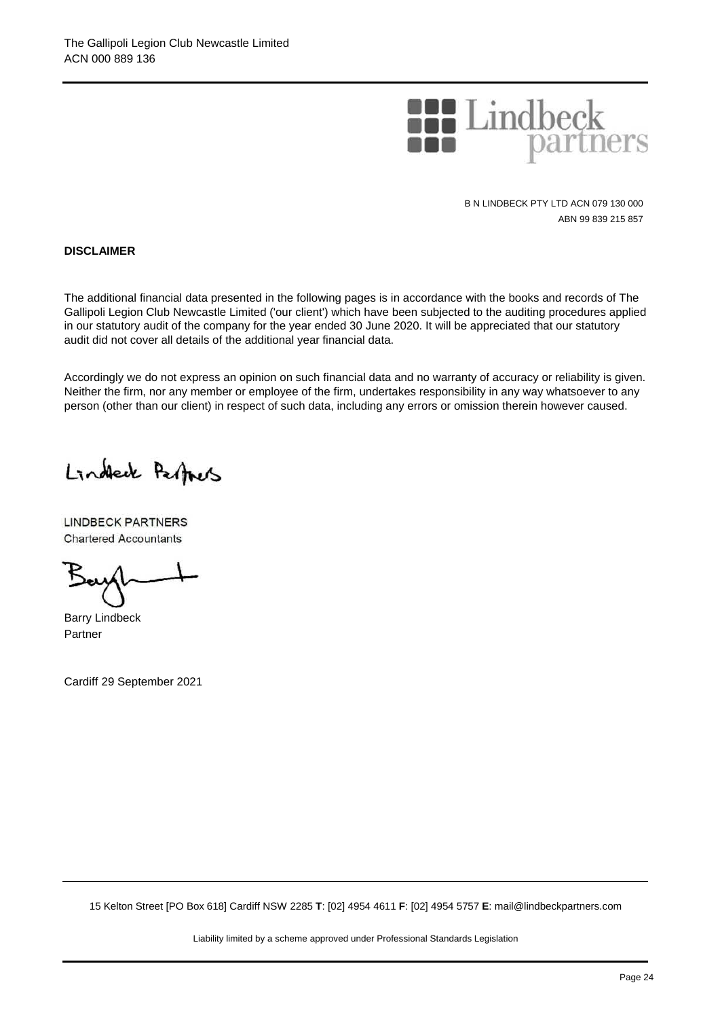

B N LINDBECK PTY LTD ACN 079 130 000 ABN 99 839 215 857

**DISCLAIMER**

The additional financial data presented in the following pages is in accordance with the books and records of The Gallipoli Legion Club Newcastle Limited ('our client') which have been subjected to the auditing procedures applied in our statutory audit of the company for the year ended 30 June 2020. It will be appreciated that our statutory audit did not cover all details of the additional year financial data.

Accordingly we do not express an opinion on such financial data and no warranty of accuracy or reliability is given. Neither the firm, nor any member or employee of the firm, undertakes responsibility in any way whatsoever to any person (other than our client) in respect of such data, including any errors or omission therein however caused.

Lindeck Perfacts

LINDBECK PARTNERS Chartered Accountants

Barry Lindbeck Partner

Cardiff 29 September 2021

15 Kelton Street [PO Box 618] Cardiff NSW 2285 **T**: [02] 4954 4611 **F**: [02] 4954 5757 **E**: mail@lindbeckpartners.com

Liability limited by a scheme approved under Professional Standards Legislation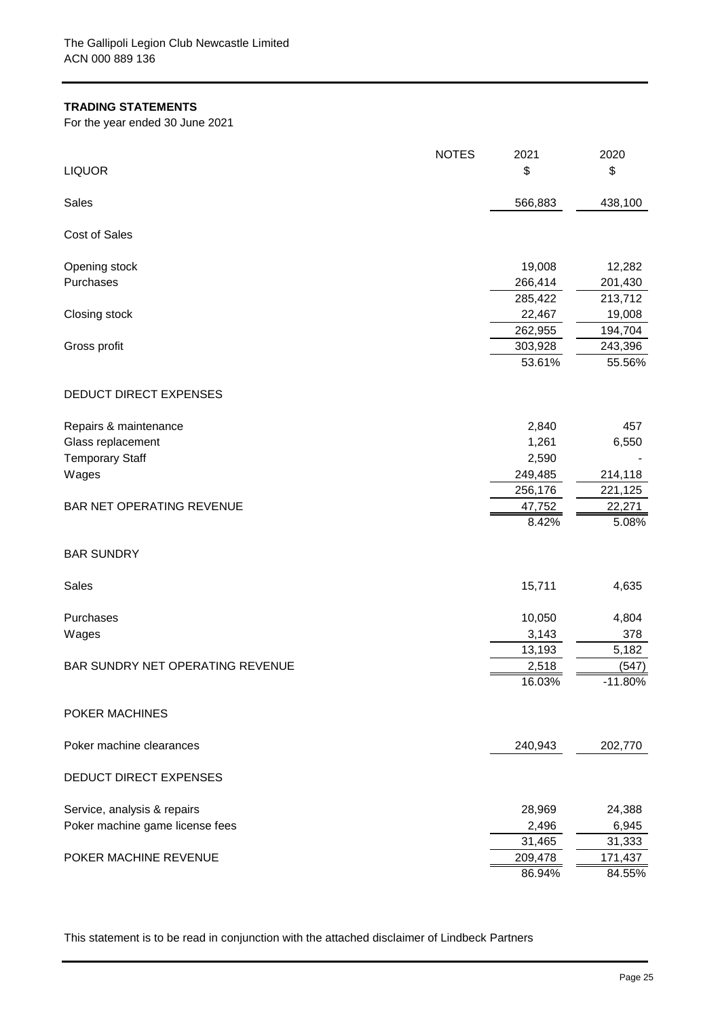## **TRADING STATEMENTS**

For the year ended 30 June 2021

| <b>LIQUOR</b>                    | <b>NOTES</b> | 2021<br>\$        | 2020<br>\$        |
|----------------------------------|--------------|-------------------|-------------------|
| Sales                            |              | 566,883           | 438,100           |
| <b>Cost of Sales</b>             |              |                   |                   |
| Opening stock                    |              | 19,008            | 12,282            |
| Purchases                        |              | 266,414           | 201,430           |
|                                  |              | 285,422           | 213,712           |
| Closing stock                    |              | 22,467            | 19,008            |
|                                  |              | 262,955           | 194,704           |
| Gross profit                     |              | 303,928<br>53.61% | 243,396<br>55.56% |
|                                  |              |                   |                   |
| DEDUCT DIRECT EXPENSES           |              |                   |                   |
| Repairs & maintenance            |              | 2,840             | 457               |
| Glass replacement                |              | 1,261             | 6,550             |
| <b>Temporary Staff</b>           |              | 2,590             |                   |
| Wages                            |              | 249,485           | 214,118           |
|                                  |              | 256,176           | 221,125           |
| BAR NET OPERATING REVENUE        |              | 47,752            | 22,271            |
|                                  |              | 8.42%             | 5.08%             |
| <b>BAR SUNDRY</b>                |              |                   |                   |
| Sales                            |              | 15,711            | 4,635             |
| Purchases                        |              | 10,050            | 4,804             |
| Wages                            |              | 3,143             | 378               |
|                                  |              | 13,193            | 5,182             |
| BAR SUNDRY NET OPERATING REVENUE |              | 2,518             | (547)             |
|                                  |              | 16.03%            | $-11.80%$         |
| POKER MACHINES                   |              |                   |                   |
| Poker machine clearances         |              | 240,943           | 202,770           |
| DEDUCT DIRECT EXPENSES           |              |                   |                   |
| Service, analysis & repairs      |              | 28,969            | 24,388            |
| Poker machine game license fees  |              | 2,496             | 6,945             |
|                                  |              | 31,465            | 31,333            |
| POKER MACHINE REVENUE            |              | 209,478           | 171,437           |
|                                  |              | 86.94%            | 84.55%            |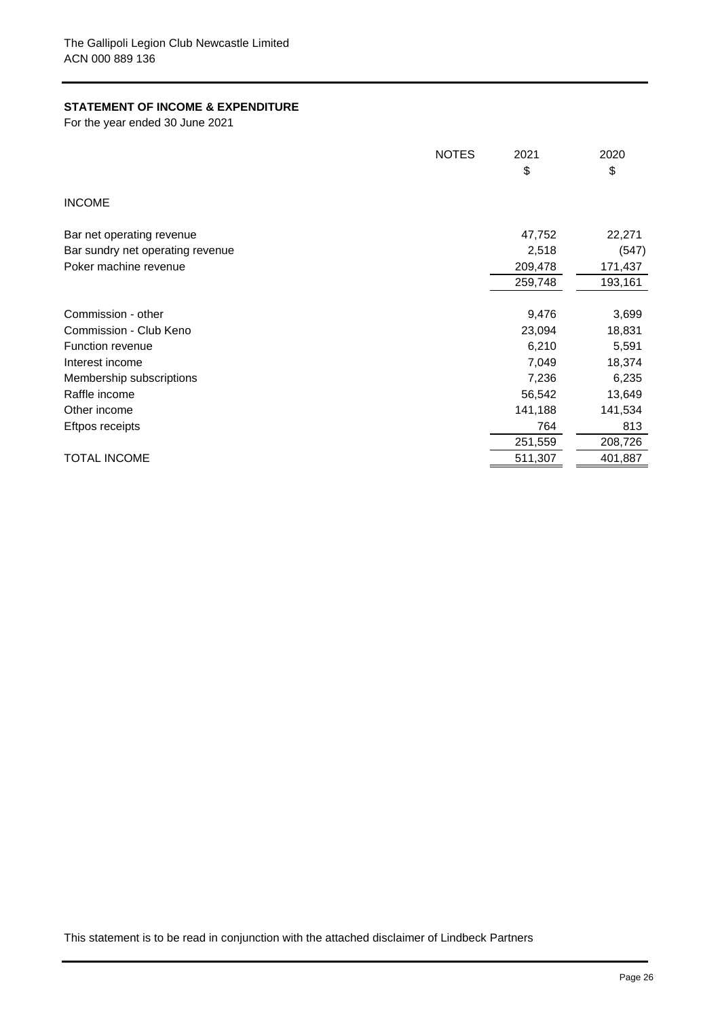## **STATEMENT OF INCOME & EXPENDITURE**

For the year ended 30 June 2021

|                                  | <b>NOTES</b> | 2021    | 2020    |
|----------------------------------|--------------|---------|---------|
|                                  |              | \$      | \$      |
| <b>INCOME</b>                    |              |         |         |
| Bar net operating revenue        |              | 47,752  | 22,271  |
| Bar sundry net operating revenue |              | 2,518   | (547)   |
| Poker machine revenue            |              | 209,478 | 171,437 |
|                                  |              | 259,748 | 193,161 |
| Commission - other               |              | 9,476   | 3,699   |
| Commission - Club Keno           |              | 23,094  | 18,831  |
| <b>Function revenue</b>          |              | 6,210   | 5,591   |
| Interest income                  |              | 7,049   | 18,374  |
| Membership subscriptions         |              | 7,236   | 6,235   |
| Raffle income                    |              | 56,542  | 13,649  |
| Other income                     |              | 141,188 | 141,534 |
| Eftpos receipts                  |              | 764     | 813     |
|                                  |              | 251,559 | 208,726 |
| <b>TOTAL INCOME</b>              |              | 511,307 | 401,887 |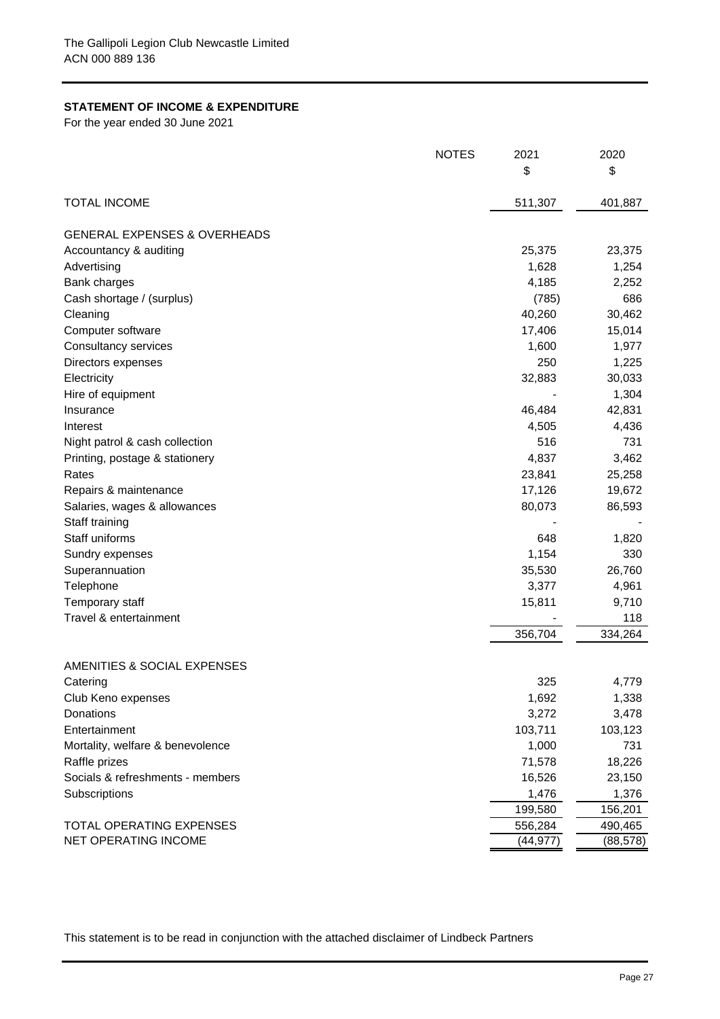# **STATEMENT OF INCOME & EXPENDITURE**

For the year ended 30 June 2021

|                                         | <b>NOTES</b> | 2021      | 2020      |
|-----------------------------------------|--------------|-----------|-----------|
|                                         |              | \$        | \$        |
| <b>TOTAL INCOME</b>                     |              | 511,307   | 401,887   |
| <b>GENERAL EXPENSES &amp; OVERHEADS</b> |              |           |           |
| Accountancy & auditing                  |              | 25,375    | 23,375    |
| Advertising                             |              | 1,628     | 1,254     |
| <b>Bank charges</b>                     |              | 4,185     | 2,252     |
| Cash shortage / (surplus)               |              | (785)     | 686       |
| Cleaning                                |              | 40,260    | 30,462    |
| Computer software                       |              | 17,406    | 15,014    |
| Consultancy services                    |              | 1,600     | 1,977     |
| Directors expenses                      |              | 250       | 1,225     |
| Electricity                             |              | 32,883    | 30,033    |
| Hire of equipment                       |              |           | 1,304     |
| Insurance                               |              | 46,484    | 42,831    |
| Interest                                |              | 4,505     | 4,436     |
| Night patrol & cash collection          |              | 516       | 731       |
| Printing, postage & stationery          |              | 4,837     | 3,462     |
| Rates                                   |              | 23,841    | 25,258    |
| Repairs & maintenance                   |              | 17,126    | 19,672    |
| Salaries, wages & allowances            |              | 80,073    | 86,593    |
| Staff training                          |              |           |           |
| Staff uniforms                          |              | 648       | 1,820     |
| Sundry expenses                         |              | 1,154     | 330       |
| Superannuation                          |              | 35,530    | 26,760    |
| Telephone                               |              | 3,377     | 4,961     |
| Temporary staff                         |              | 15,811    | 9,710     |
| Travel & entertainment                  |              |           | 118       |
|                                         |              | 356,704   | 334,264   |
| AMENITIES & SOCIAL EXPENSES             |              |           |           |
| Catering                                |              | 325       | 4,779     |
| Club Keno expenses                      |              | 1,692     | 1,338     |
| Donations                               |              | 3,272     | 3,478     |
| Entertainment                           |              | 103,711   | 103,123   |
| Mortality, welfare & benevolence        |              | 1,000     | 731       |
| Raffle prizes                           |              | 71,578    | 18,226    |
| Socials & refreshments - members        |              | 16,526    | 23,150    |
| Subscriptions                           |              | 1,476     | 1,376     |
|                                         |              | 199,580   | 156,201   |
| <b>TOTAL OPERATING EXPENSES</b>         |              | 556,284   | 490,465   |
| NET OPERATING INCOME                    |              | (44, 977) | (88, 578) |